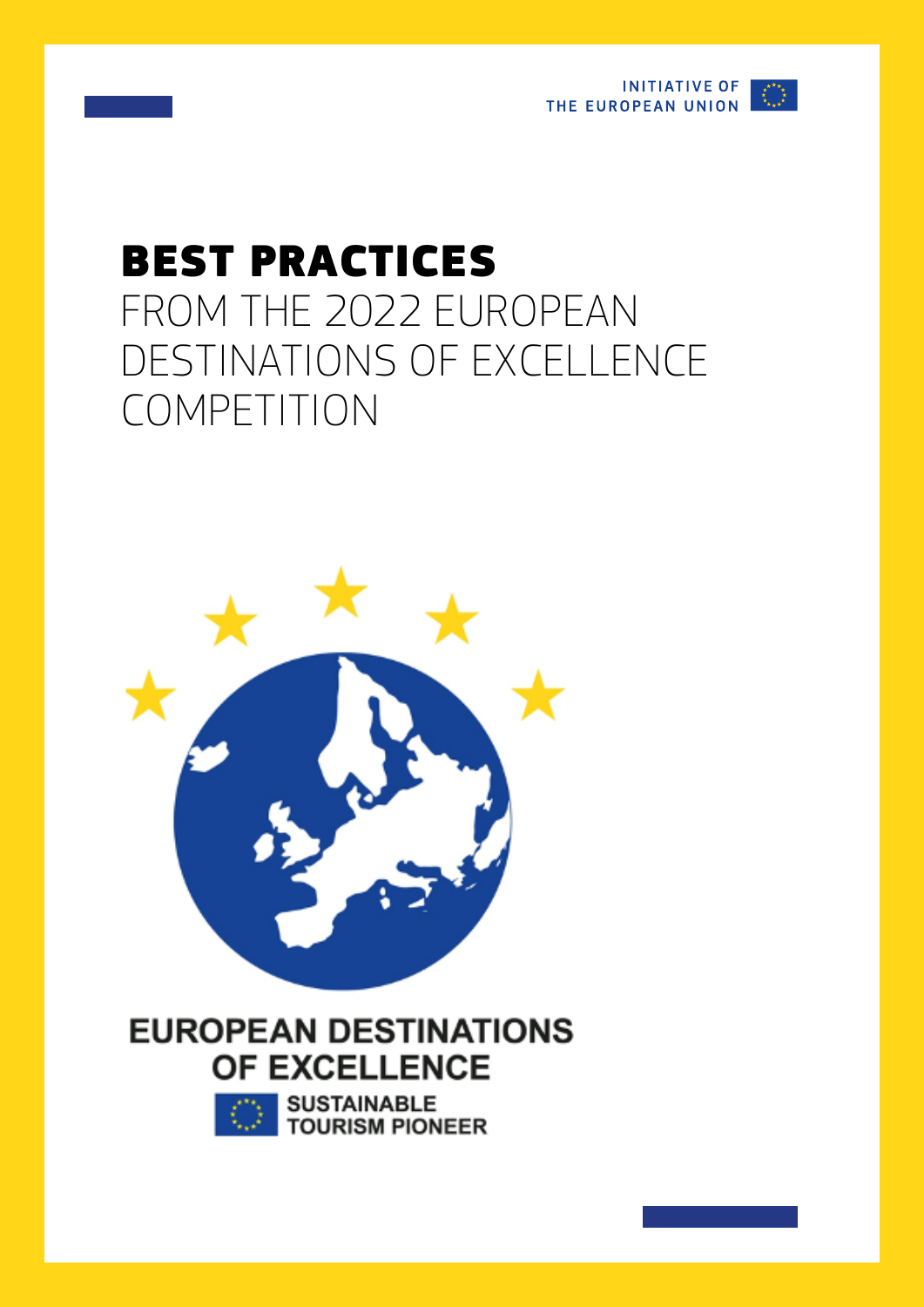

# BEST PRACTICES FROM THE 2022 EUROPEAN DESTINATIONS OF EXCELLENCE COMPETITION



## **EUROPEAN DESTINATIONS** OF EXCELLENCE



**SUSTAINABLE TOURISM PIONEER**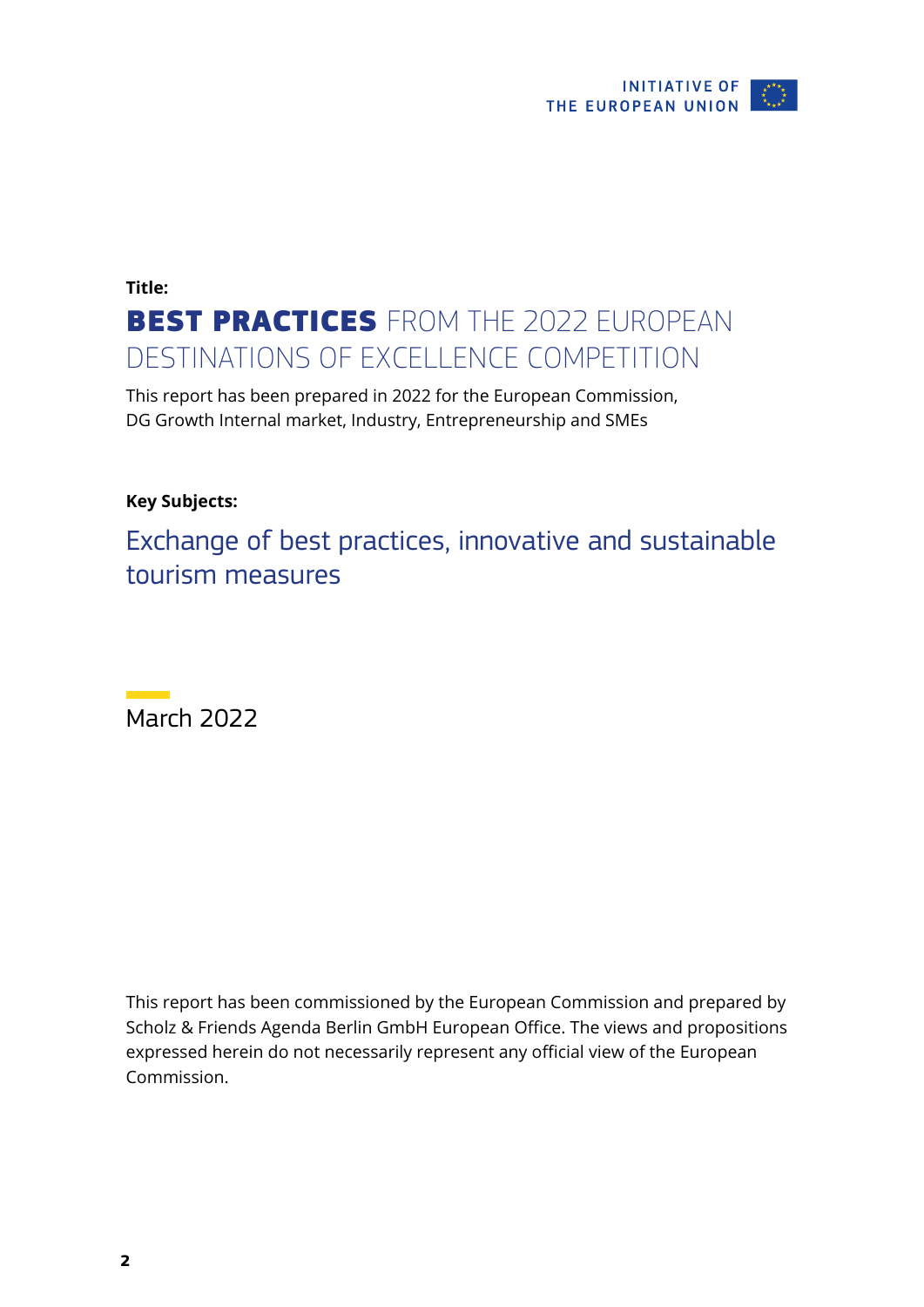

## **Title:**  BEST PRACTICES FROM THE 2022 EUROPEAN DESTINATIONS OF EXCELLENCE COMPETITION

This report has been prepared in 2022 for the European Commission, DG Growth Internal market, Industry, Entrepreneurship and SMEs

### **Key Subjects:**

Exchange of best practices, innovative and sustainable tourism measures

March 2022

This report has been commissioned by the European Commission and prepared by Scholz & Friends Agenda Berlin GmbH European Office. The views and propositions expressed herein do not necessarily represent any official view of the European Commission.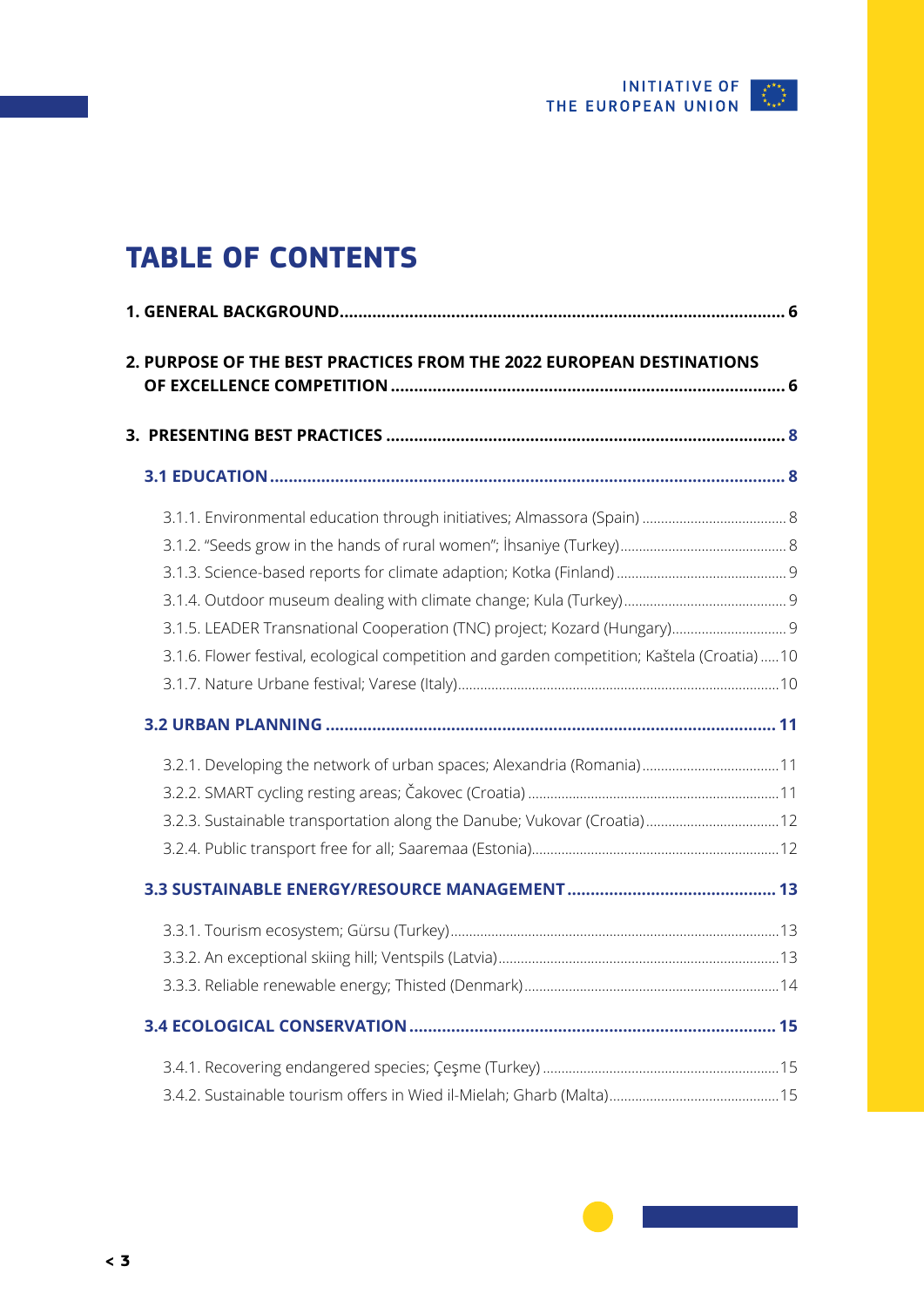

## <span id="page-2-0"></span>**TABLE OF CONTENTS**

| 2. PURPOSE OF THE BEST PRACTICES FROM THE 2022 EUROPEAN DESTINATIONS                       |  |
|--------------------------------------------------------------------------------------------|--|
|                                                                                            |  |
|                                                                                            |  |
|                                                                                            |  |
|                                                                                            |  |
|                                                                                            |  |
|                                                                                            |  |
| 3.1.5. LEADER Transnational Cooperation (TNC) project; Kozard (Hungary) 9                  |  |
| 3.1.6. Flower festival, ecological competition and garden competition; Kaštela (Croatia)10 |  |
|                                                                                            |  |
|                                                                                            |  |
|                                                                                            |  |
| 3.2.1. Developing the network of urban spaces; Alexandria (Romania) 11                     |  |
|                                                                                            |  |
| 3.2.3. Sustainable transportation along the Danube; Vukovar (Croatia) 12                   |  |
|                                                                                            |  |
|                                                                                            |  |
|                                                                                            |  |
|                                                                                            |  |
|                                                                                            |  |
|                                                                                            |  |
|                                                                                            |  |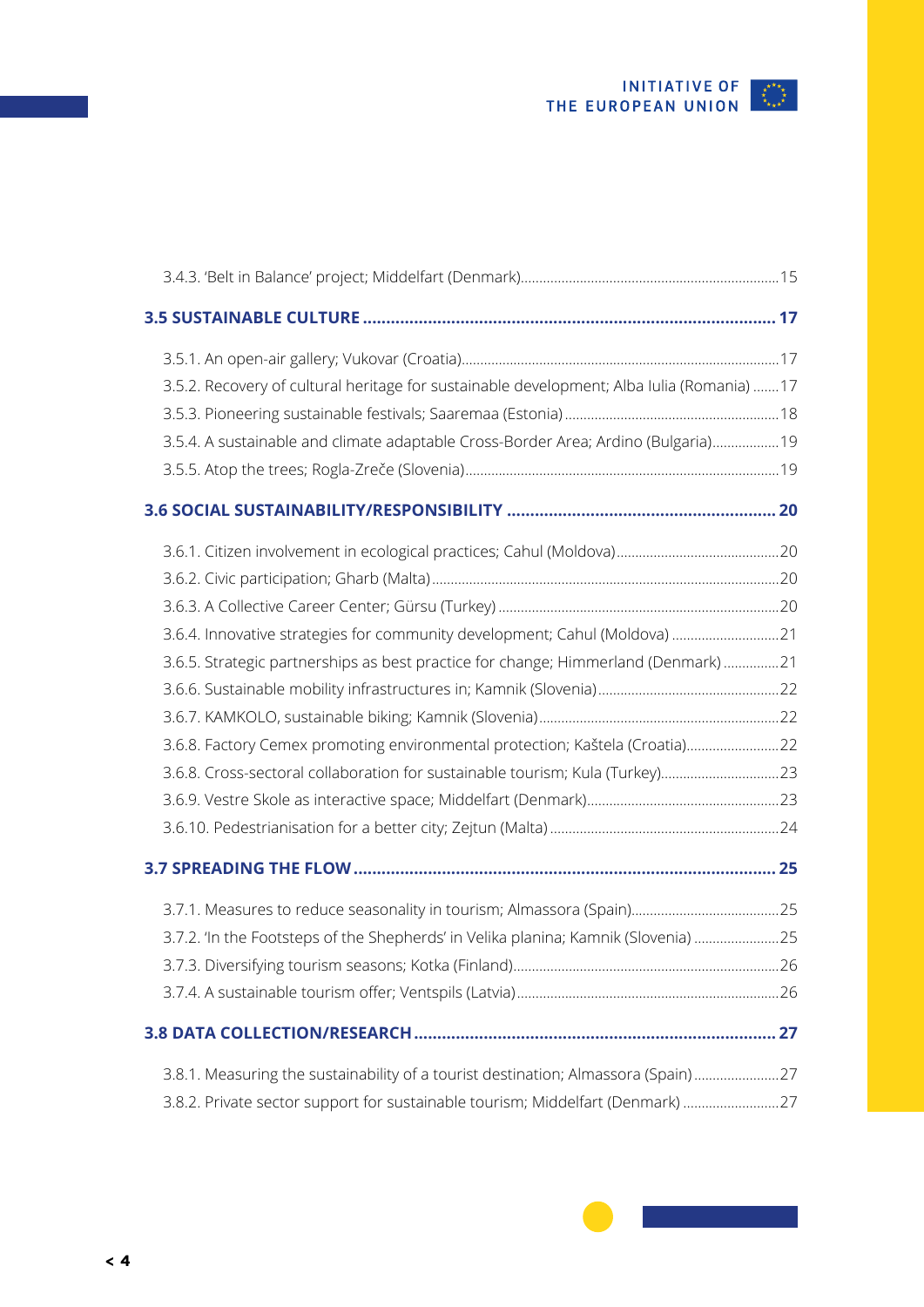

| 3.5.2. Recovery of cultural heritage for sustainable development; Alba Iulia (Romania)  17 |  |
|--------------------------------------------------------------------------------------------|--|
|                                                                                            |  |
| 3.5.4. A sustainable and climate adaptable Cross-Border Area; Ardino (Bulgaria)19          |  |
|                                                                                            |  |
|                                                                                            |  |
|                                                                                            |  |
|                                                                                            |  |
|                                                                                            |  |
| 3.6.4. Innovative strategies for community development; Cahul (Moldova) 21                 |  |
| 3.6.5. Strategic partnerships as best practice for change; Himmerland (Denmark) 21         |  |
|                                                                                            |  |
|                                                                                            |  |
| 3.6.8. Factory Cemex promoting environmental protection; Kaštela (Croatia)22               |  |
| 3.6.8. Cross-sectoral collaboration for sustainable tourism; Kula (Turkey)23               |  |
|                                                                                            |  |
|                                                                                            |  |
|                                                                                            |  |
|                                                                                            |  |
| 3.7.2. 'In the Footsteps of the Shepherds' in Velika planina; Kamnik (Slovenia) 25         |  |
|                                                                                            |  |
|                                                                                            |  |
|                                                                                            |  |
| 3.8.1. Measuring the sustainability of a tourist destination; Almassora (Spain)27          |  |
| 3.8.2. Private sector support for sustainable tourism; Middelfart (Denmark) 27             |  |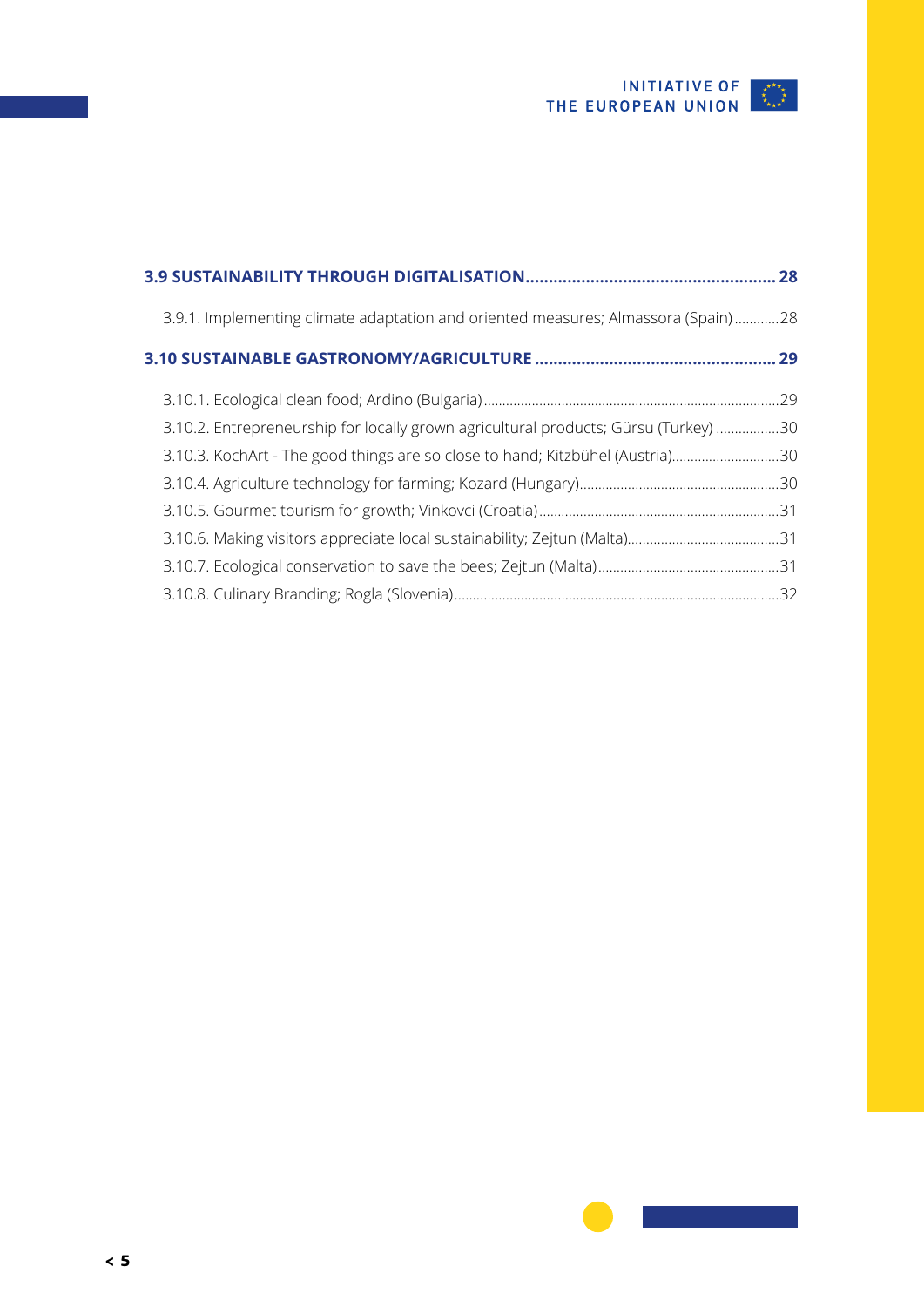

| 3.9.1. Implementing climate adaptation and oriented measures; Almassora (Spain)28   |  |
|-------------------------------------------------------------------------------------|--|
|                                                                                     |  |
|                                                                                     |  |
| 3.10.2. Entrepreneurship for locally grown agricultural products; Gürsu (Turkey) 30 |  |
| 3.10.3. KochArt - The good things are so close to hand; Kitzbühel (Austria)30       |  |
|                                                                                     |  |
|                                                                                     |  |
|                                                                                     |  |
|                                                                                     |  |
|                                                                                     |  |
|                                                                                     |  |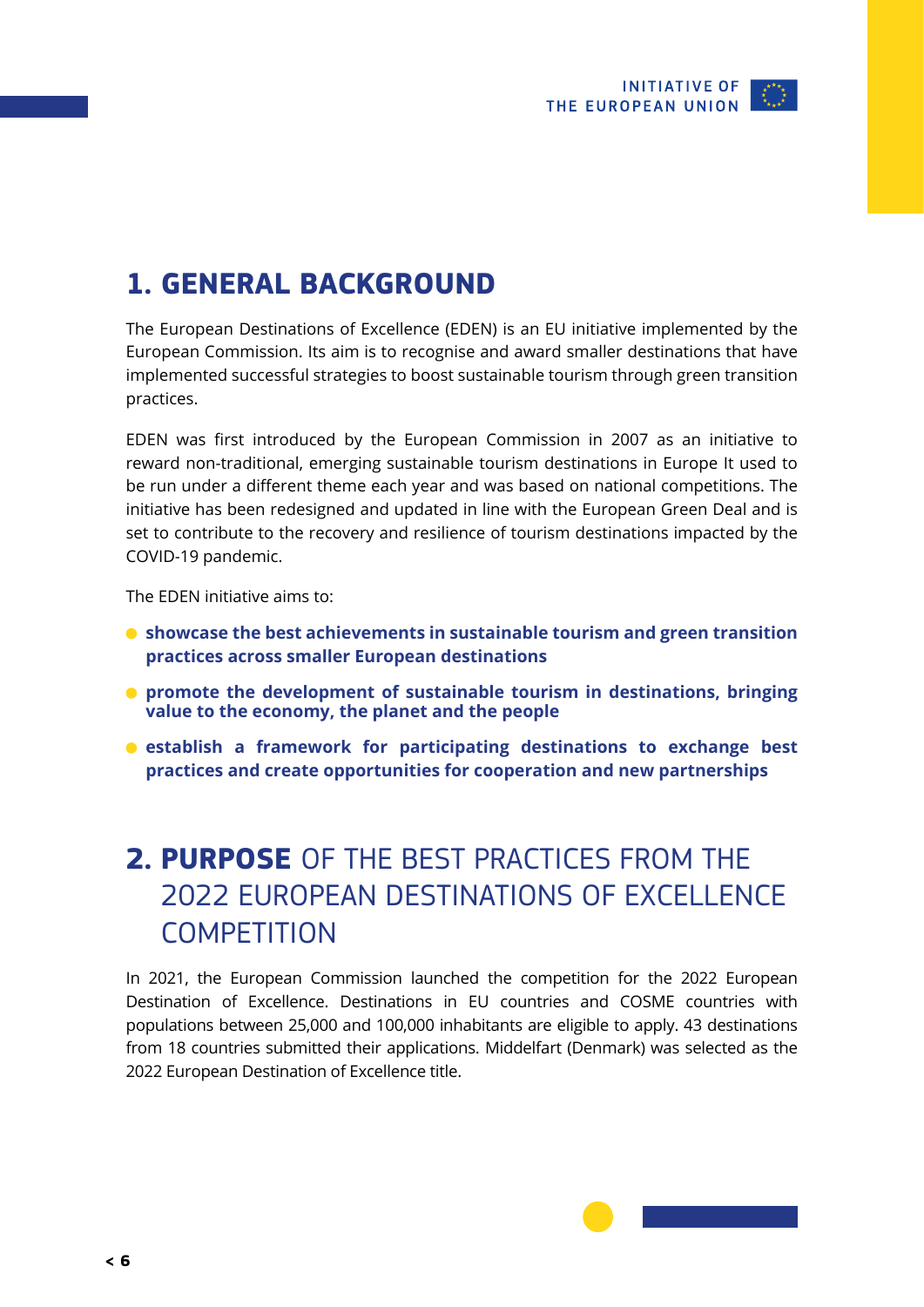

## <span id="page-5-0"></span>**1. GENERAL BACKGROUND**

The European Destinations of Excellence (EDEN) is an EU initiative implemented by the European Commission. Its aim is to recognise and award smaller destinations that have implemented successful strategies to boost sustainable tourism through green transition practices.

EDEN was first introduced by the European Commission in 2007 as an initiative to reward non-traditional, emerging sustainable tourism destinations in Europe It used to be run under a different theme each year and was based on national competitions. The initiative has been redesigned and updated in line with the European Green Deal and is set to contribute to the recovery and resilience of tourism destinations impacted by the COVID-19 pandemic.

The EDEN initiative aims to:

- **showcase the best achievements in sustainable tourism and green transition practices across smaller European destinations**
- **promote the development of sustainable tourism in destinations, bringing value to the economy, the planet and the people**
- **establish a framework for participating destinations to exchange best practices and create opportunities for cooperation and new partnerships**

## **2. PURPOSE** OF THE BEST PRACTICES FROM THE 2022 EUROPEAN DESTINATIONS OF EXCELLENCE **COMPETITION**

In 2021, the European Commission launched the competition for the 2022 European Destination of Excellence. Destinations in EU countries and COSME countries with populations between 25,000 and 100,000 inhabitants are eligible to apply. 43 destinations from 18 countries submitted their applications. Middelfart (Denmark) was selected as the 2022 European Destination of Excellence title.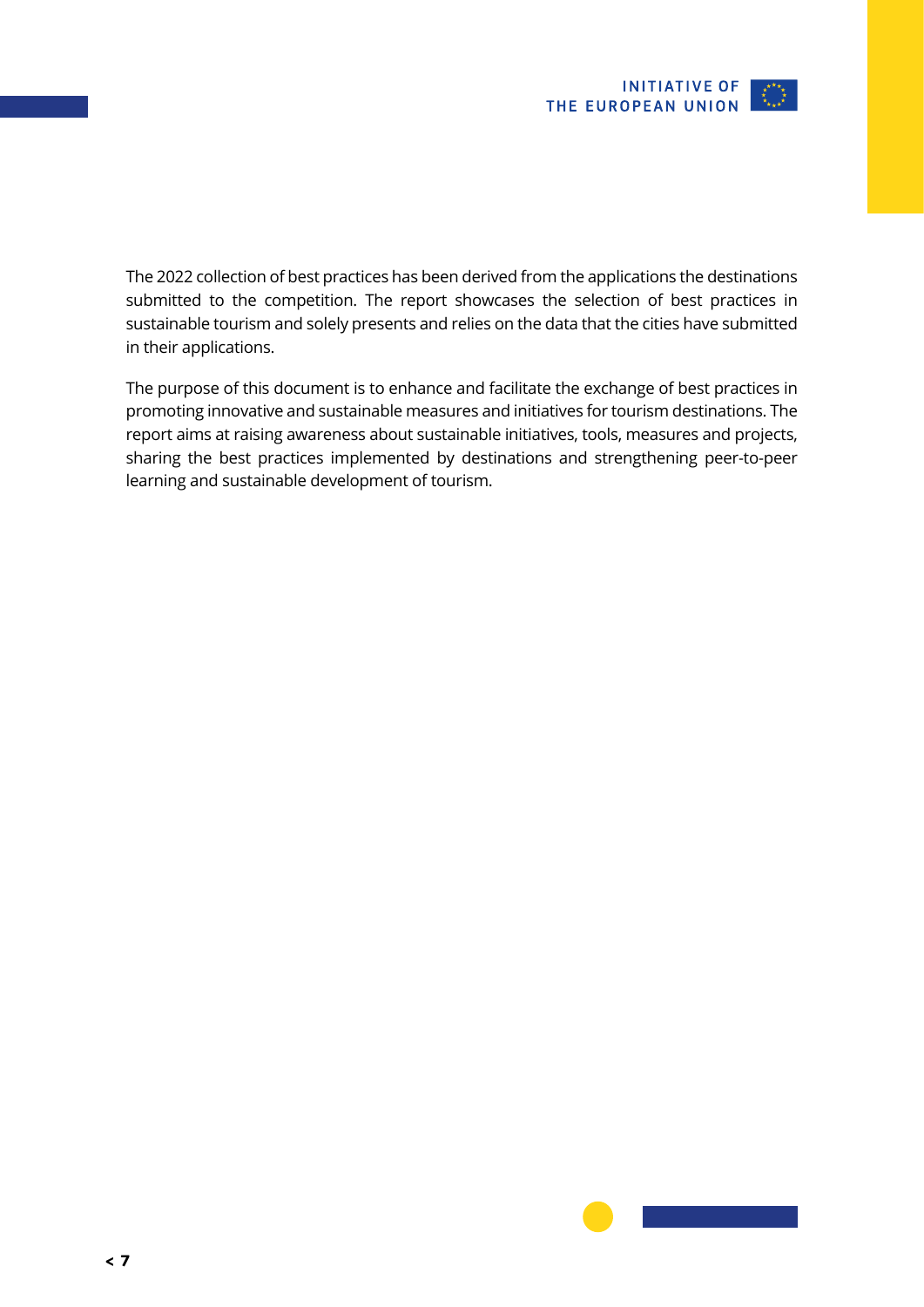

The 2022 collection of best practices has been derived from the applications the destinations submitted to the competition. The report showcases the selection of best practices in sustainable tourism and solely presents and relies on the data that the cities have submitted in their applications.

The purpose of this document is to enhance and facilitate the exchange of best practices in promoting innovative and sustainable measures and initiatives for tourism destinations. The report aims at raising awareness about sustainable initiatives, tools, measures and projects, sharing the best practices implemented by destinations and strengthening peer-to-peer learning and sustainable development of tourism.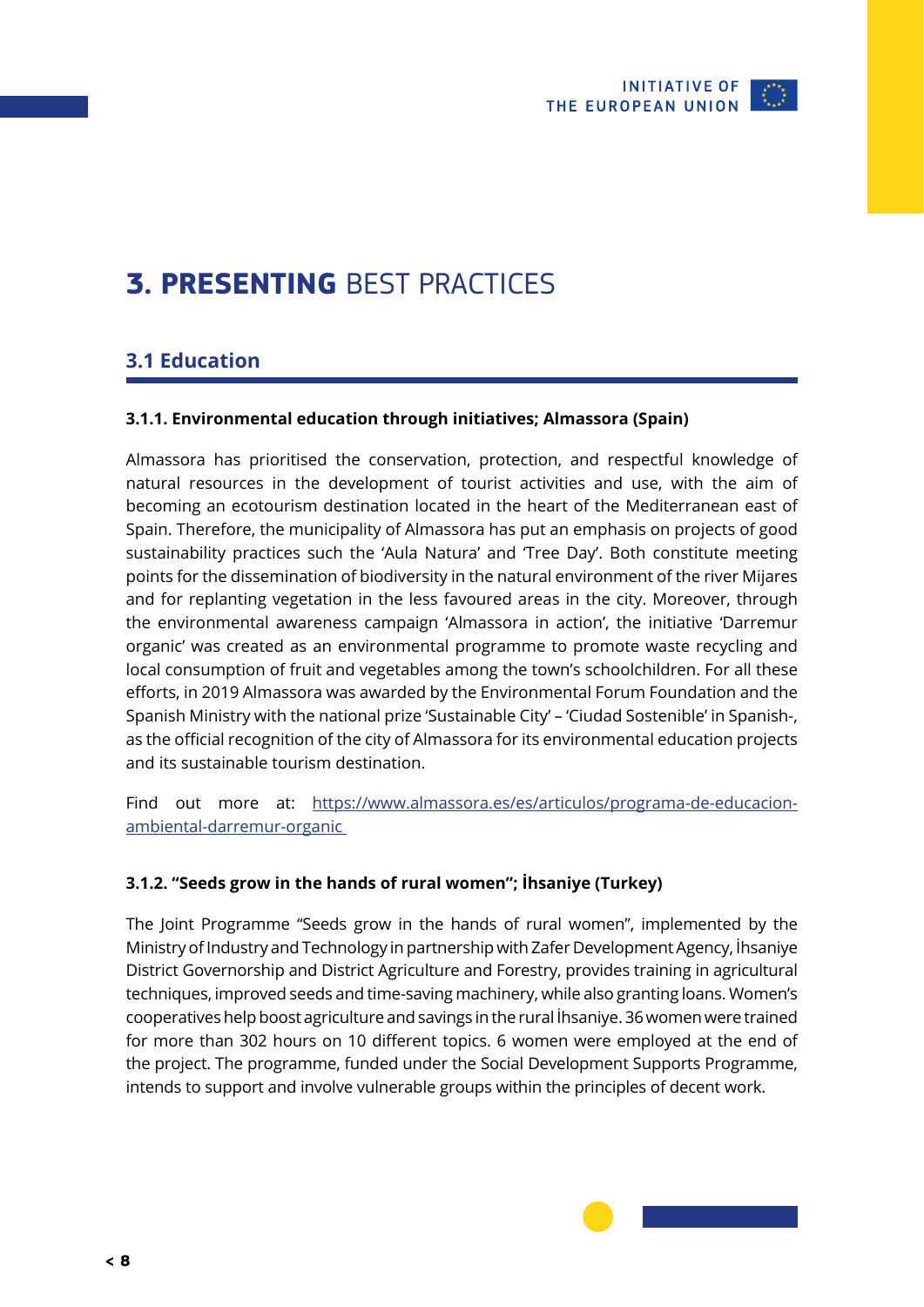

## <span id="page-7-0"></span>**3. PRESENTING** BEST PRACTICES

### **3.1 Education**

### **3.1.1. Environmental education through initiatives; Almassora (Spain)**

Almassora has prioritised the conservation, protection, and respectful knowledge of natural resources in the development of tourist activities and use, with the aim of becoming an ecotourism destination located in the heart of the Mediterranean east of Spain. Therefore, the municipality of Almassora has put an emphasis on projects of good sustainability practices such the 'Aula Natura' and 'Tree Day'. Both constitute meeting points for the dissemination of biodiversity in the natural environment of the river Mijares and for replanting vegetation in the less favoured areas in the city. Moreover, through the environmental awareness campaign 'Almassora in action', the initiative 'Darremur organic' was created as an environmental programme to promote waste recycling and local consumption of fruit and vegetables among the town's schoolchildren. For all these efforts, in 2019 Almassora was awarded by the Environmental Forum Foundation and the Spanish Ministry with the national prize 'Sustainable City' – 'Ciudad Sostenible' in Spanish-, as the official recognition of the city of Almassora for its environmental education projects and its sustainable tourism destination.

Find out more at: [https://www.almassora.es/es/articulos/programa-de-educacion](https://www.almassora.es/es/articulos/programa-de-educacion-ambiental-darremur-organic )[ambiental-darremur-organic](https://www.almassora.es/es/articulos/programa-de-educacion-ambiental-darremur-organic ) 

### **3.1.2. "Seeds grow in the hands of rural women"; İhsaniye (Turkey)**

The Joint Programme "Seeds grow in the hands of rural women", implemented by the Ministry of Industry and Technology in partnership with Zafer Development Agency, İhsaniye District Governorship and District Agriculture and Forestry, provides training in agricultural techniques, improved seeds and time-saving machinery, while also granting loans. Women's cooperatives help boost agriculture and savings in the rural İhsaniye. 36 women were trained for more than 302 hours on 10 different topics. 6 women were employed at the end of the project. The programme, funded under the Social Development Supports Programme, intends to support and involve vulnerable groups within the principles of decent work.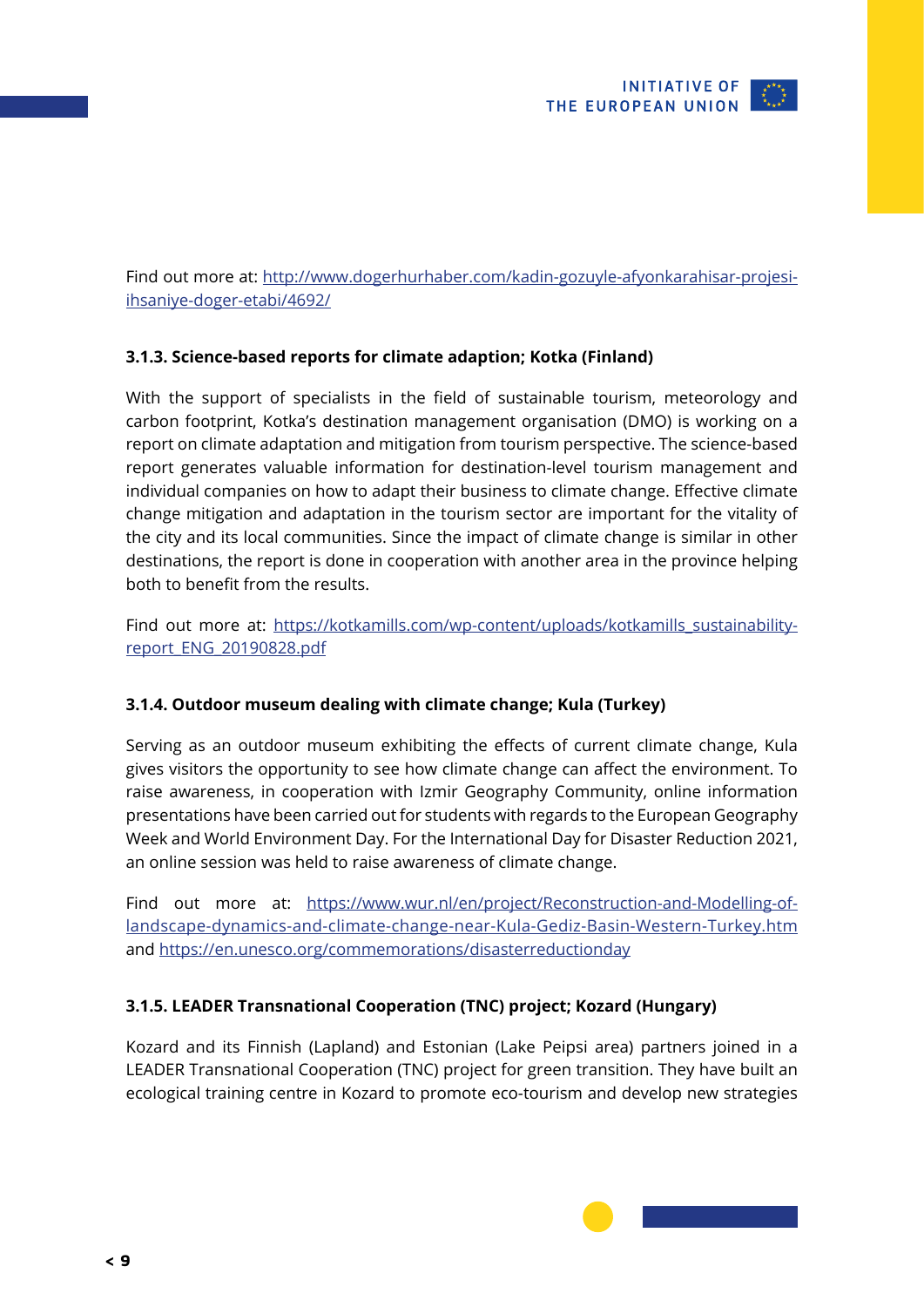

<span id="page-8-0"></span>Find out more at: [http://www.dogerhurhaber.com/kadin-gozuyle-afyonkarahisar-projesi](http://www.dogerhurhaber.com/kadin-gozuyle-afyonkarahisar-projesi-ihsaniye-doger-etabi/4692/)[ihsaniye-doger-etabi/4692/](http://www.dogerhurhaber.com/kadin-gozuyle-afyonkarahisar-projesi-ihsaniye-doger-etabi/4692/)

### **3.1.3. Science-based reports for climate adaption; Kotka (Finland)**

With the support of specialists in the field of sustainable tourism, meteorology and carbon footprint, Kotka's destination management organisation (DMO) is working on a report on climate adaptation and mitigation from tourism perspective. The science-based report generates valuable information for destination-level tourism management and individual companies on how to adapt their business to climate change. Effective climate change mitigation and adaptation in the tourism sector are important for the vitality of the city and its local communities. Since the impact of climate change is similar in other destinations, the report is done in cooperation with another area in the province helping both to benefit from the results.

Find out more at: [https://kotkamills.com/wp-content/uploads/kotkamills\\_sustainability](https://kotkamills.com/wp-content/uploads/kotkamills_sustainability-report_ENG_20190828.pdf)[report\\_ENG\\_20190828.pdf](https://kotkamills.com/wp-content/uploads/kotkamills_sustainability-report_ENG_20190828.pdf)

### **3.1.4. Outdoor museum dealing with climate change; Kula (Turkey)**

Serving as an outdoor museum exhibiting the effects of current climate change, Kula gives visitors the opportunity to see how climate change can affect the environment. To raise awareness, in cooperation with Izmir Geography Community, online information presentations have been carried out for students with regards to the European Geography Week and World Environment Day. For the International Day for Disaster Reduction 2021, an online session was held to raise awareness of climate change.

Find out more at: [https://www.wur.nl/en/project/Reconstruction-and-Modelling-of](https://www.wur.nl/en/project/Reconstruction-and-Modelling-of-landscape-dynamics-and-climate-change-near-Kula-Gediz-Basin-Western-Turkey.htm)[landscape-dynamics-and-climate-change-near-Kula-Gediz-Basin-Western-Turkey.htm](https://www.wur.nl/en/project/Reconstruction-and-Modelling-of-landscape-dynamics-and-climate-change-near-Kula-Gediz-Basin-Western-Turkey.htm) and <https://en.unesco.org/commemorations/disasterreductionday>

### **3.1.5. LEADER Transnational Cooperation (TNC) project; Kozard (Hungary)**

Kozard and its Finnish (Lapland) and Estonian (Lake Peipsi area) partners joined in a LEADER Transnational Cooperation (TNC) project for green transition. They have built an ecological training centre in Kozard to promote eco-tourism and develop new strategies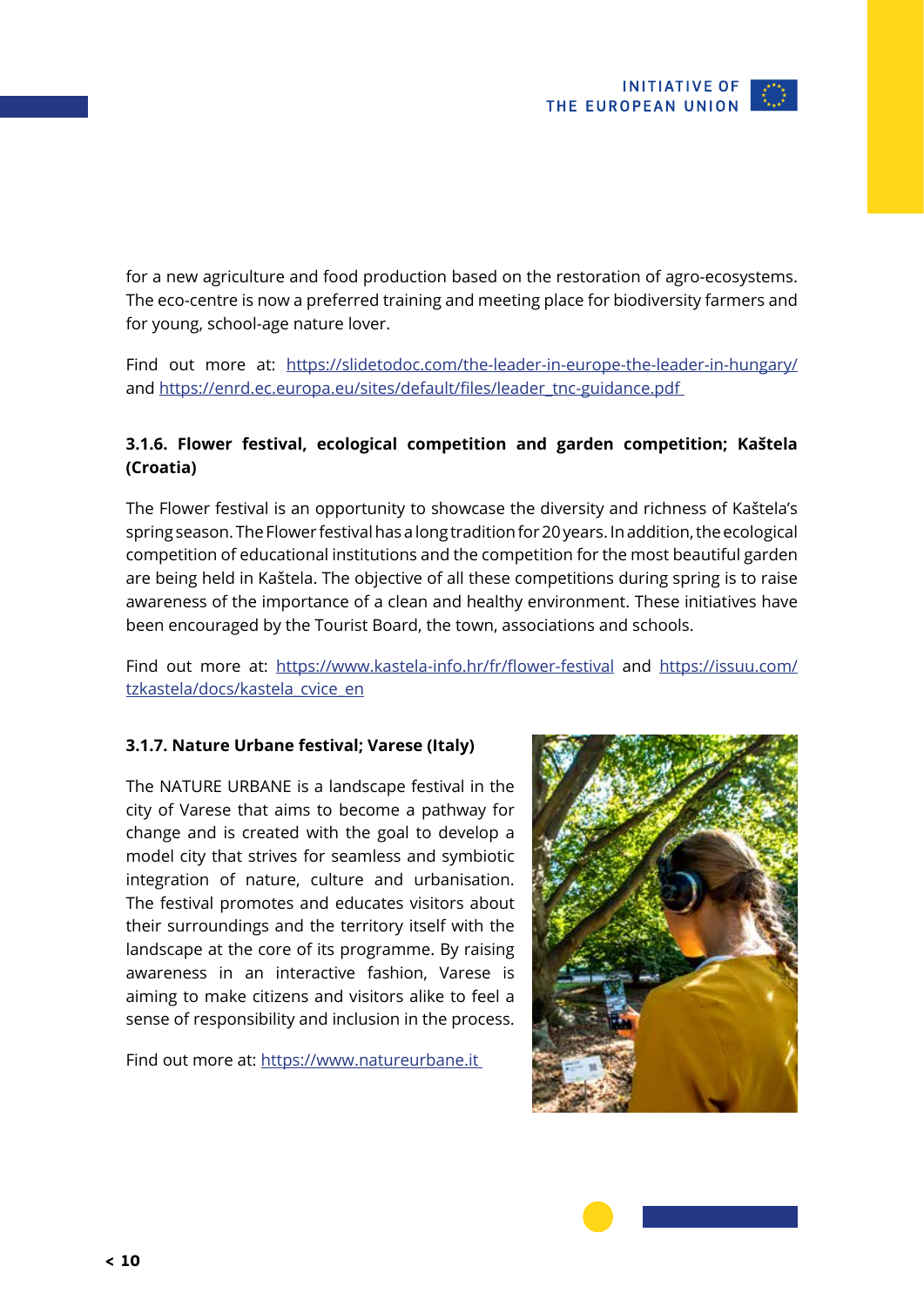<span id="page-9-0"></span>for a new agriculture and food production based on the restoration of agro-ecosystems. The eco-centre is now a preferred training and meeting place for biodiversity farmers and for young, school-age nature lover.

Find out more at: <https://slidetodoc.com/the-leader-in-europe-the-leader-in-hungary/> and https://enrd.ec.europa.eu/sites/default/files/leader\_tnc-guidance.pdf

### **3.1.6. Flower festival, ecological competition and garden competition; Kaštela (Croatia)**

The Flower festival is an opportunity to showcase the diversity and richness of Kaštela's spring season. The Flower festival has a long tradition for 20 years. In addition, the ecological competition of educational institutions and the competition for the most beautiful garden are being held in Kaštela. The objective of all these competitions during spring is to raise awareness of the importance of a clean and healthy environment. These initiatives have been encouraged by the Tourist Board, the town, associations and schools.

Find out more at: <https://www.kastela-info.hr/fr/flower-festival> and [https://issuu.com/](https://issuu.com/tzkastela/docs/kastela_cvice_en) [tzkastela/docs/kastela\\_cvice\\_en](https://issuu.com/tzkastela/docs/kastela_cvice_en)

### **3.1.7. Nature Urbane festival; Varese (Italy)**

The NATURE URBANE is a landscape festival in the city of Varese that aims to become a pathway for change and is created with the goal to develop a model city that strives for seamless and symbiotic integration of nature, culture and urbanisation. The festival promotes and educates visitors about their surroundings and the territory itself with the landscape at the core of its programme. By raising awareness in an interactive fashion, Varese is aiming to make citizens and visitors alike to feel a sense of responsibility and inclusion in the process.

Find out more at:<https://www.natureurbane.it>

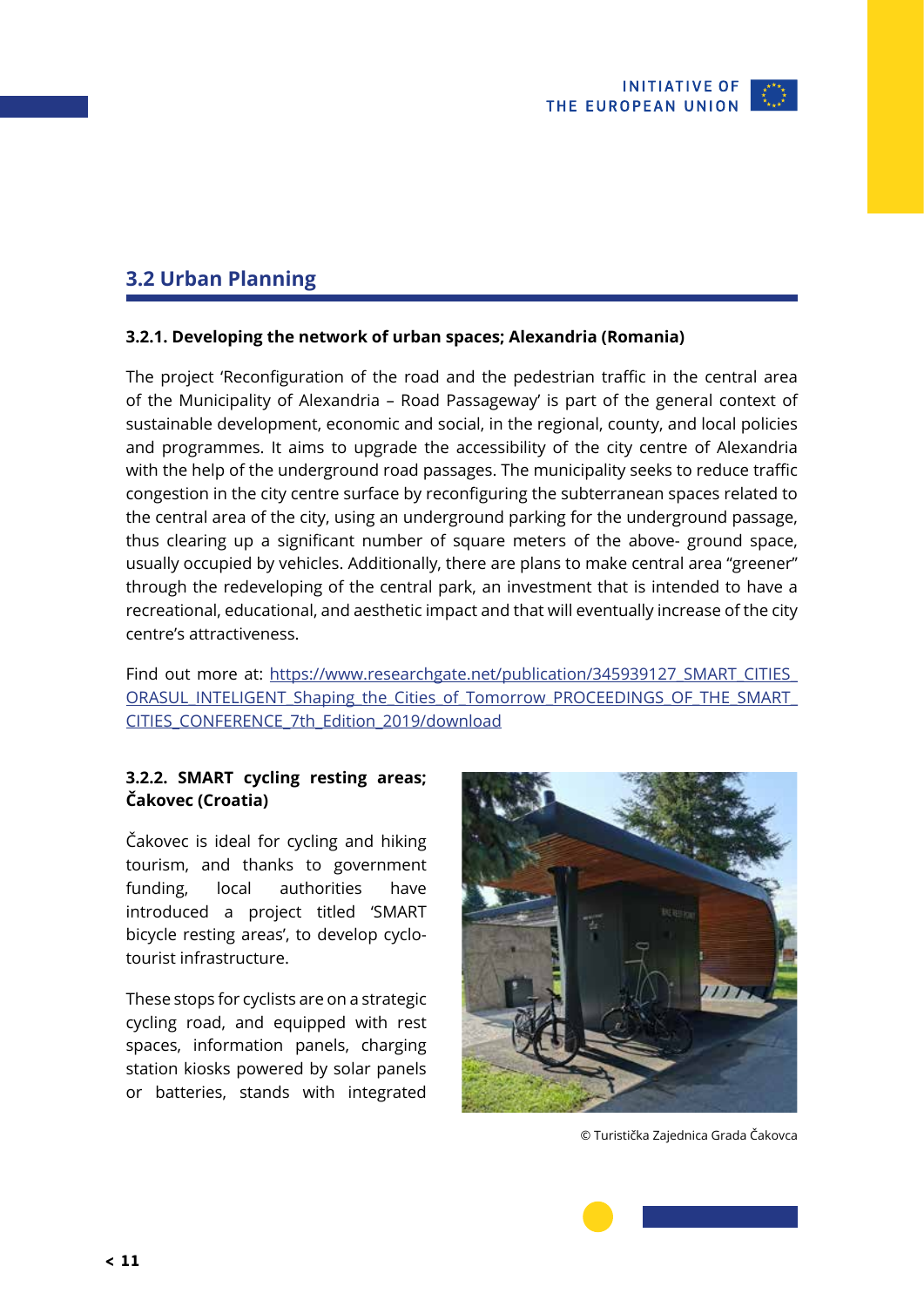

## <span id="page-10-0"></span>**3.2 Urban Planning**

### **3.2.1. Developing the network of urban spaces; Alexandria (Romania)**

The project 'Reconfiguration of the road and the pedestrian traffic in the central area of the Municipality of Alexandria – Road Passageway' is part of the general context of sustainable development, economic and social, in the regional, county, and local policies and programmes. It aims to upgrade the accessibility of the city centre of Alexandria with the help of the underground road passages. The municipality seeks to reduce traffic congestion in the city centre surface by reconfiguring the subterranean spaces related to the central area of the city, using an underground parking for the underground passage, thus clearing up a significant number of square meters of the above- ground space, usually occupied by vehicles. Additionally, there are plans to make central area "greener" through the redeveloping of the central park, an investment that is intended to have a recreational, educational, and aesthetic impact and that will eventually increase of the city centre's attractiveness.

Find out more at: [https://www.researchgate.net/publication/345939127\\_SMART\\_CITIES\\_](https://www.researchgate.net/publication/345939127_SMART_CITIES_ORASUL_INTELIGENT_Shaping_the_Cities_of_Tomorrow_PROCEEDINGS_OF_THE_SMART_CITIES_CONFERENCE_7th_Edition_2019/download) [ORASUL\\_INTELIGENT\\_Shaping\\_the\\_Cities\\_of\\_Tomorrow\\_PROCEEDINGS\\_OF\\_THE\\_SMART\\_](https://www.researchgate.net/publication/345939127_SMART_CITIES_ORASUL_INTELIGENT_Shaping_the_Cities_of_Tomorrow_PROCEEDINGS_OF_THE_SMART_CITIES_CONFERENCE_7th_Edition_2019/download) [CITIES\\_CONFERENCE\\_7th\\_Edition\\_2019/download](https://www.researchgate.net/publication/345939127_SMART_CITIES_ORASUL_INTELIGENT_Shaping_the_Cities_of_Tomorrow_PROCEEDINGS_OF_THE_SMART_CITIES_CONFERENCE_7th_Edition_2019/download)

### **3.2.2. SMART cycling resting areas; Čakovec (Croatia)**

Čakovec is ideal for cycling and hiking tourism, and thanks to government funding, local authorities have introduced a project titled 'SMART bicycle resting areas', to develop cyclotourist infrastructure.

These stops for cyclists are on a strategic cycling road, and equipped with rest spaces, information panels, charging station kiosks powered by solar panels or batteries, stands with integrated



© Turistička Zajednica Grada Čakovca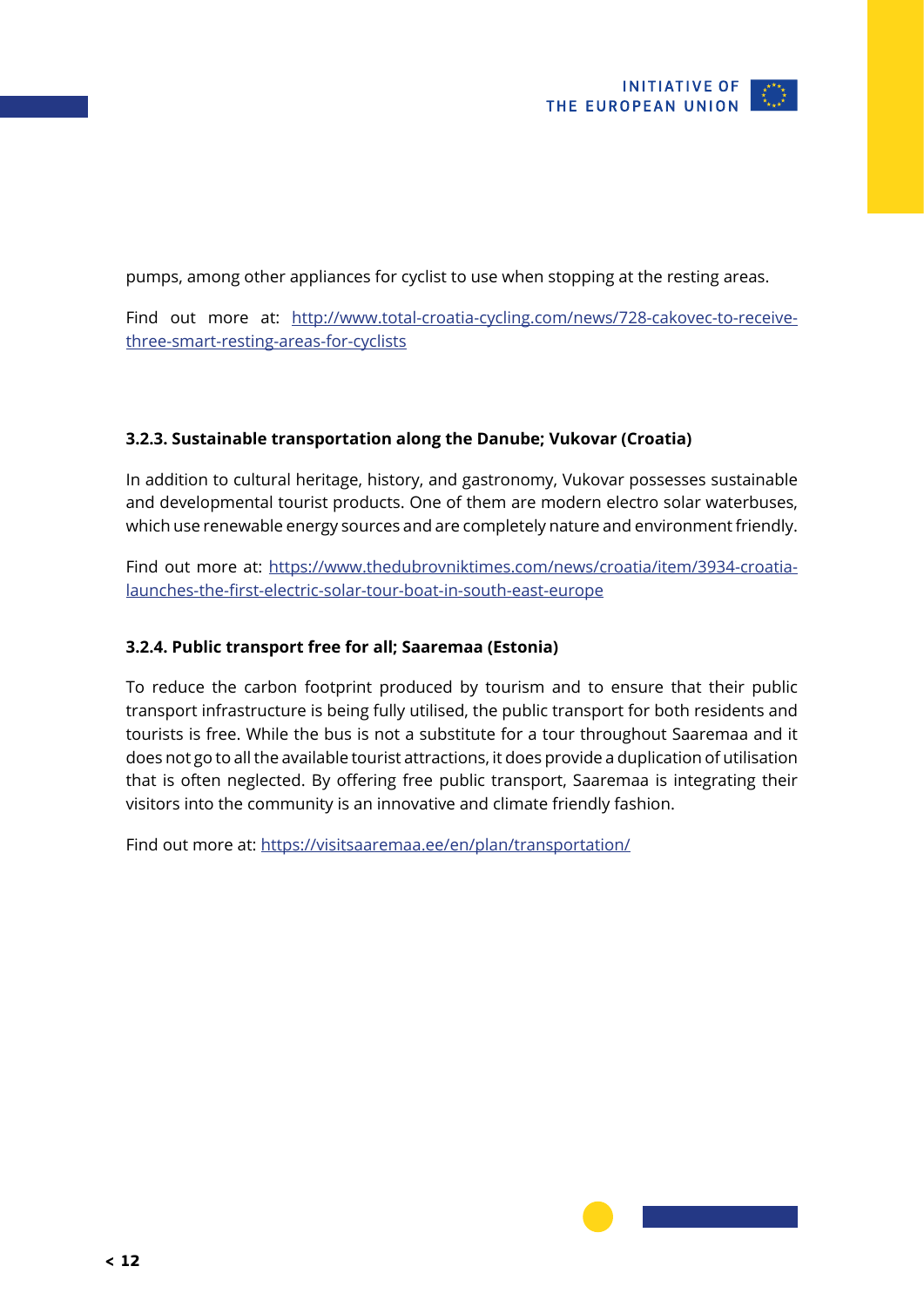<span id="page-11-0"></span>pumps, among other appliances for cyclist to use when stopping at the resting areas.

Find out more at: [http://www.total-croatia-cycling.com/news/728-cakovec-to-receive](http://www.total-croatia-cycling.com/news/728-cakovec-to-receive-three-smart-resting-areas-for-cyclists)[three-smart-resting-areas-for-cyclists](http://www.total-croatia-cycling.com/news/728-cakovec-to-receive-three-smart-resting-areas-for-cyclists)

### **3.2.3. Sustainable transportation along the Danube; Vukovar (Croatia)**

In addition to cultural heritage, history, and gastronomy, Vukovar possesses sustainable and developmental tourist products. One of them are modern electro solar waterbuses, which use renewable energy sources and are completely nature and environment friendly.

Find out more at: [https://www.thedubrovniktimes.com/news/croatia/item/3934-croatia](https://www.thedubrovniktimes.com/news/croatia/item/3934-croatia-launches-the-first-electric-solar-tour-boat-in-south-east-europe)[launches-the-first-electric-solar-tour-boat-in-south-east-europe](https://www.thedubrovniktimes.com/news/croatia/item/3934-croatia-launches-the-first-electric-solar-tour-boat-in-south-east-europe)

### **3.2.4. Public transport free for all; Saaremaa (Estonia)**

To reduce the carbon footprint produced by tourism and to ensure that their public transport infrastructure is being fully utilised, the public transport for both residents and tourists is free. While the bus is not a substitute for a tour throughout Saaremaa and it does not go to all the available tourist attractions, it does provide a duplication of utilisation that is often neglected. By offering free public transport, Saaremaa is integrating their visitors into the community is an innovative and climate friendly fashion.

Find out more at:<https://visitsaaremaa.ee/en/plan/transportation/>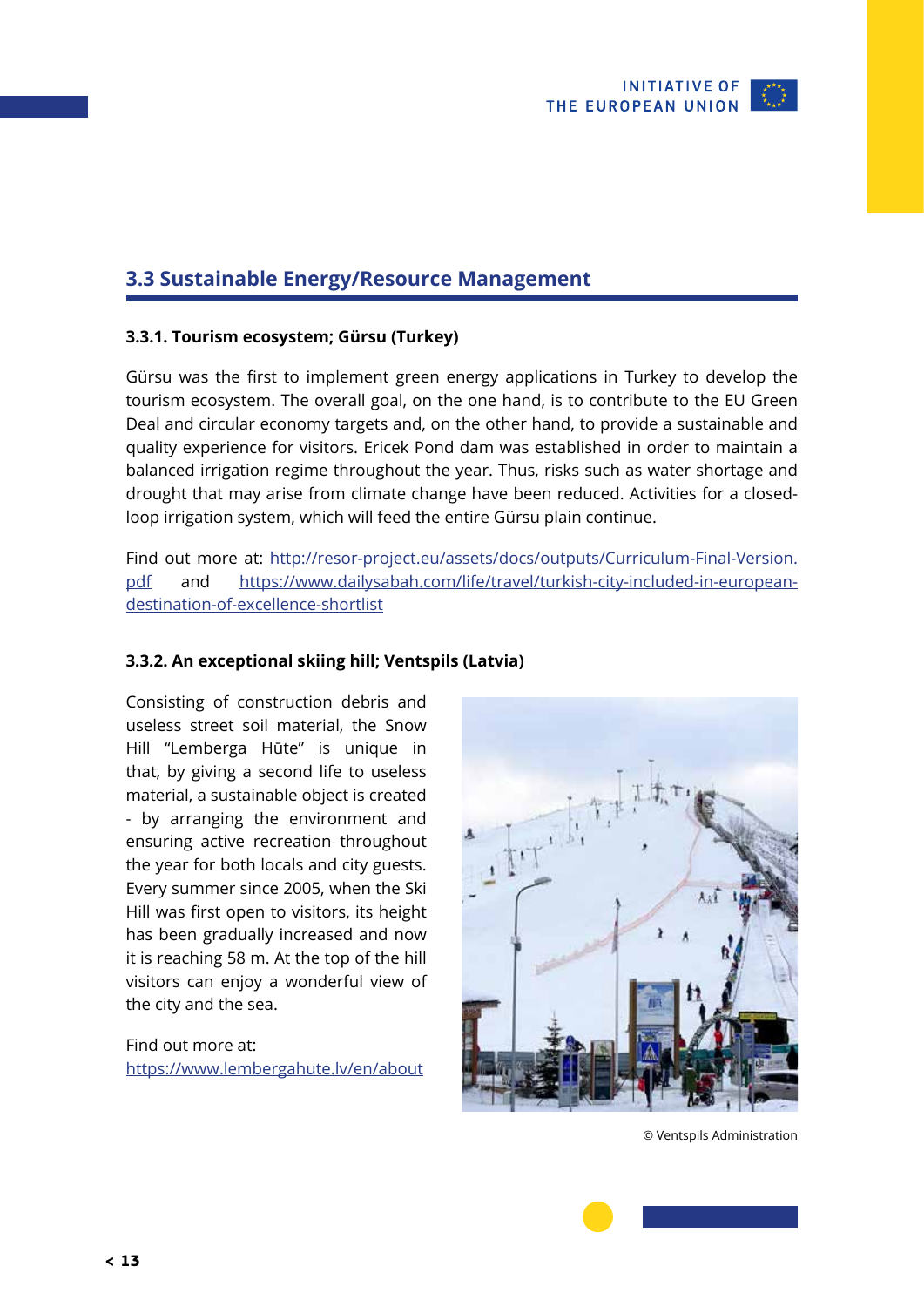

### <span id="page-12-0"></span>**3.3 Sustainable Energy/Resource Management**

### **3.3.1. Tourism ecosystem; Gürsu (Turkey)**

Gürsu was the first to implement green energy applications in Turkey to develop the tourism ecosystem. The overall goal, on the one hand, is to contribute to the EU Green Deal and circular economy targets and, on the other hand, to provide a sustainable and quality experience for visitors. Ericek Pond dam was established in order to maintain a balanced irrigation regime throughout the year. Thus, risks such as water shortage and drought that may arise from climate change have been reduced. Activities for a closedloop irrigation system, which will feed the entire Gürsu plain continue.

Find out more at: [http://resor-project.eu/assets/docs/outputs/Curriculum-Final-Version.](http://resor-project.eu/assets/docs/outputs/Curriculum-Final-Version.pdf) [pdf](http://resor-project.eu/assets/docs/outputs/Curriculum-Final-Version.pdf) and [https://www.dailysabah.com/life/travel/turkish-city-included-in-european](https://www.dailysabah.com/life/travel/turkish-city-included-in-european-destination-of-excellence-shortlist)[destination-of-excellence-shortlist](https://www.dailysabah.com/life/travel/turkish-city-included-in-european-destination-of-excellence-shortlist)

### **3.3.2. An exceptional skiing hill; Ventspils (Latvia)**

Consisting of construction debris and useless street soil material, the Snow Hill "Lemberga Hūte" is unique in that, by giving a second life to useless material, a sustainable object is created - by arranging the environment and ensuring active recreation throughout the year for both locals and city guests. Every summer since 2005, when the Ski Hill was first open to visitors, its height has been gradually increased and now it is reaching 58 m. At the top of the hill visitors can enjoy a wonderful view of the city and the sea.

Find out more at: <https://www.lembergahute.lv/en/about>



© Ventspils Administration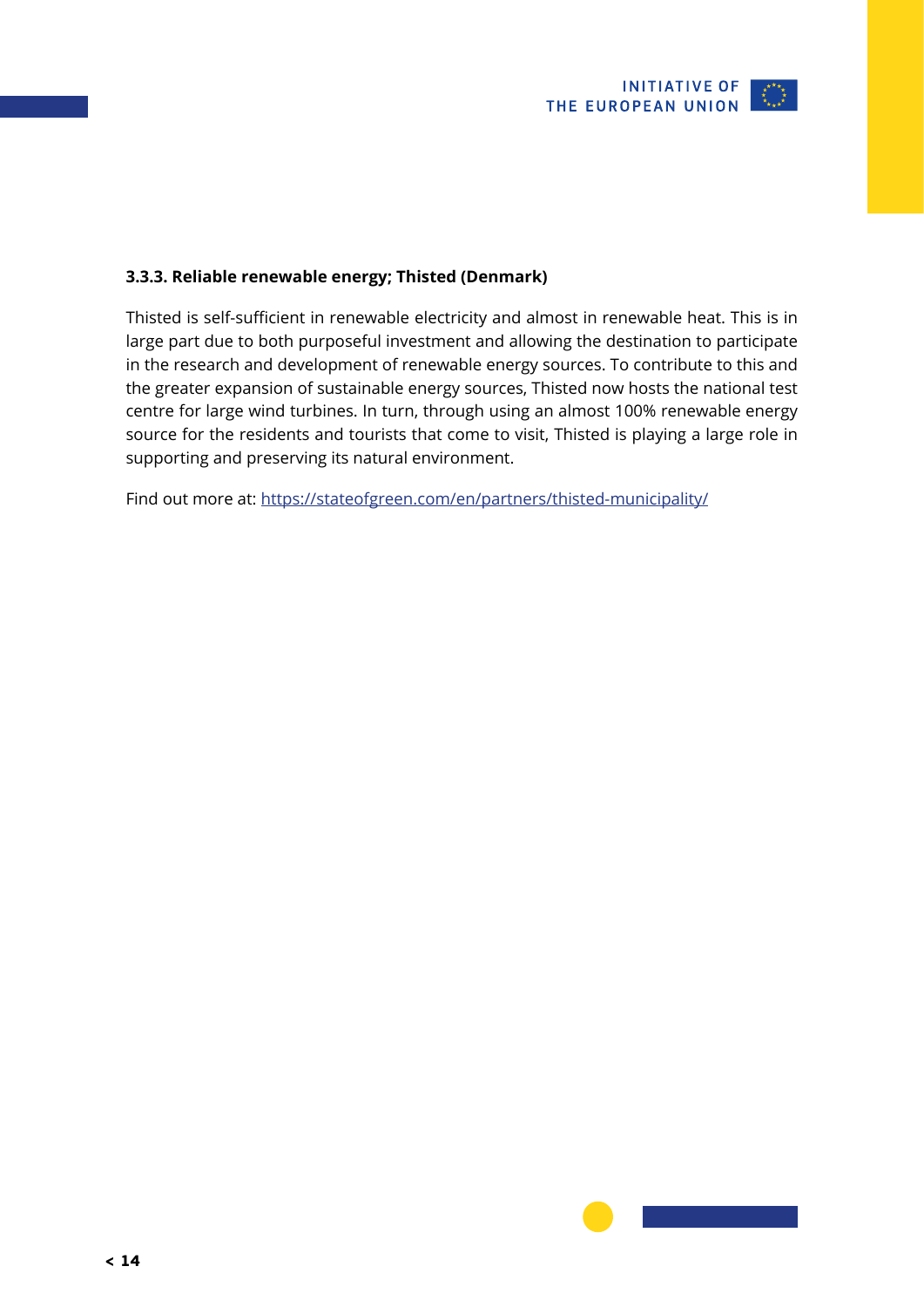

### <span id="page-13-0"></span>**3.3.3. Reliable renewable energy; Thisted (Denmark)**

Thisted is self-sufficient in renewable electricity and almost in renewable heat. This is in large part due to both purposeful investment and allowing the destination to participate in the research and development of renewable energy sources. To contribute to this and the greater expansion of sustainable energy sources, Thisted now hosts the national test centre for large wind turbines. In turn, through using an almost 100% renewable energy source for the residents and tourists that come to visit, Thisted is playing a large role in supporting and preserving its natural environment.

Find out more at: https://stateofgreen.com/en/partners/thisted-municipality/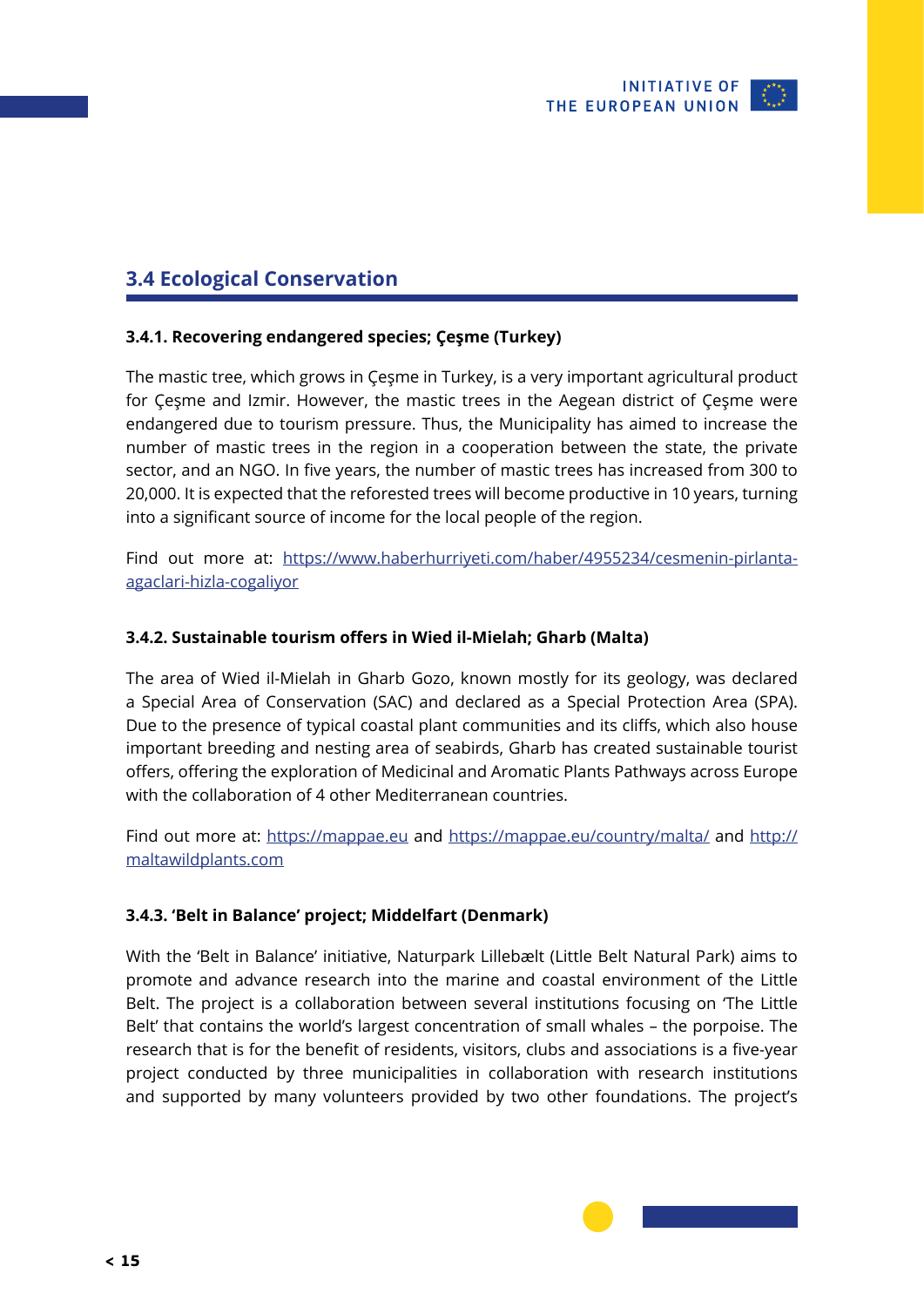

### <span id="page-14-0"></span>**3.4 Ecological Conservation**

### **3.4.1. Recovering endangered species; Çeşme (Turkey)**

The mastic tree, which grows in Çeşme in Turkey, is a very important agricultural product for Çeşme and Izmir. However, the mastic trees in the Aegean district of Çeşme were endangered due to tourism pressure. Thus, the Municipality has aimed to increase the number of mastic trees in the region in a cooperation between the state, the private sector, and an NGO. In five years, the number of mastic trees has increased from 300 to 20,000. It is expected that the reforested trees will become productive in 10 years, turning into a significant source of income for the local people of the region.

Find out more at: [https://www.haberhurriyeti.com/haber/4955234/cesmenin-pirlanta](https://www.haberhurriyeti.com/haber/4955234/cesmenin-pirlanta-agaclari-hizla-cogaliyor)[agaclari-hizla-cogaliyor](https://www.haberhurriyeti.com/haber/4955234/cesmenin-pirlanta-agaclari-hizla-cogaliyor)

#### **3.4.2. Sustainable tourism offers in Wied il-Mielah; Gharb (Malta)**

The area of Wied il-Mielah in Gharb Gozo, known mostly for its geology, was declared a Special Area of Conservation (SAC) and declared as a Special Protection Area (SPA). Due to the presence of typical coastal plant communities and its cliffs, which also house important breeding and nesting area of seabirds, Gharb has created sustainable tourist offers, offering the exploration of Medicinal and Aromatic Plants Pathways across Europe with the collaboration of 4 other Mediterranean countries.

Find out more at: <https://mappae.eu> and <https://mappae.eu/country/malta/> and [http://](http://maltawildplants.com) [maltawildplants.com](http://maltawildplants.com)

#### **3.4.3. 'Belt in Balance' project; Middelfart (Denmark)**

With the 'Belt in Balance' initiative, Naturpark Lillebælt (Little Belt Natural Park) aims to promote and advance research into the marine and coastal environment of the Little Belt. The project is a collaboration between several institutions focusing on 'The Little Belt' that contains the world's largest concentration of small whales – the porpoise. The research that is for the benefit of residents, visitors, clubs and associations is a five-year project conducted by three municipalities in collaboration with research institutions and supported by many volunteers provided by two other foundations. The project's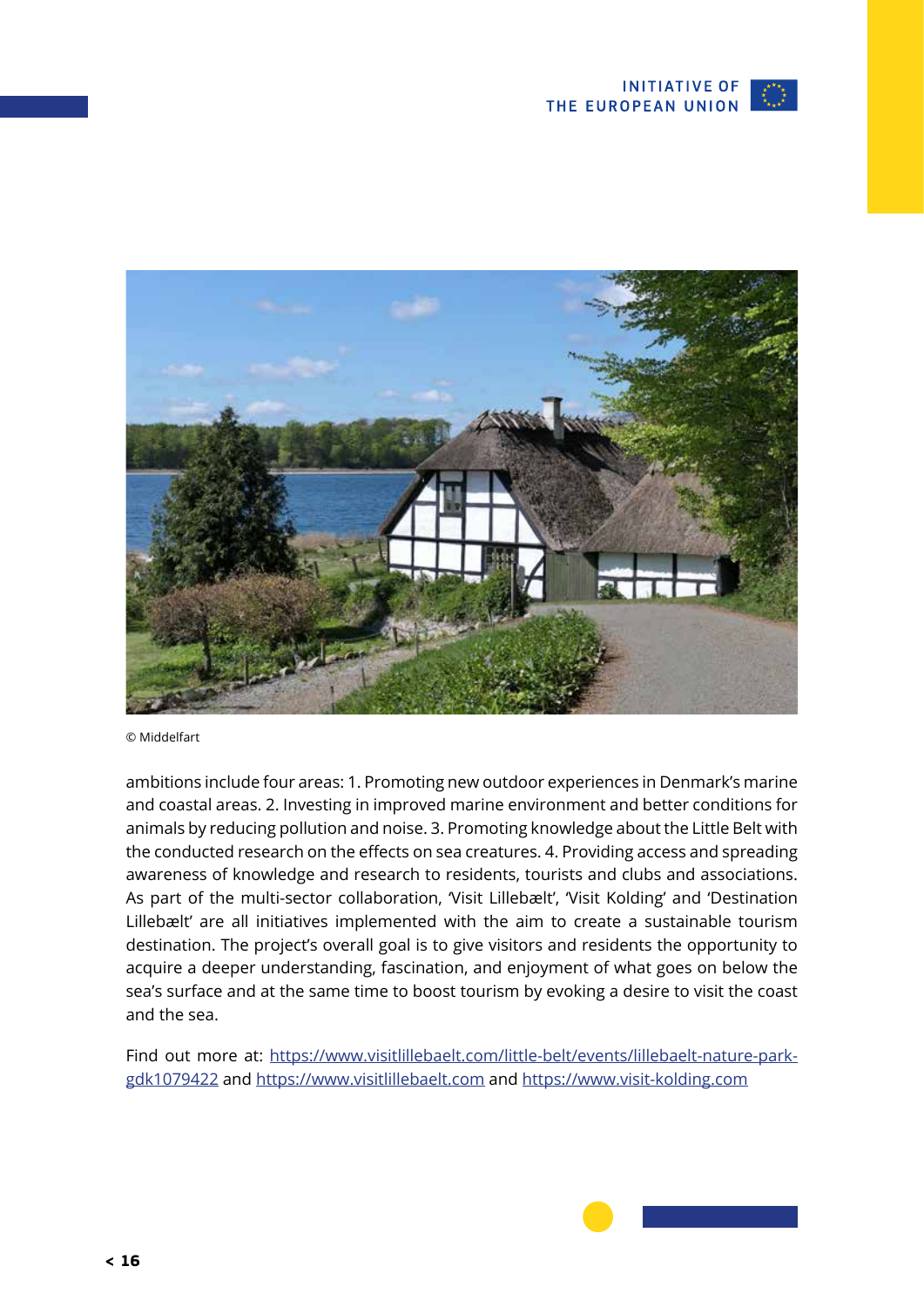



© Middelfart

ambitions include four areas: 1. Promoting new outdoor experiences in Denmark's marine and coastal areas. 2. Investing in improved marine environment and better conditions for animals by reducing pollution and noise. 3. Promoting knowledge about the Little Belt with the conducted research on the effects on sea creatures. 4. Providing access and spreading awareness of knowledge and research to residents, tourists and clubs and associations. As part of the multi-sector collaboration, 'Visit Lillebælt', 'Visit Kolding' and 'Destination Lillebælt' are all initiatives implemented with the aim to create a sustainable tourism destination. The project's overall goal is to give visitors and residents the opportunity to acquire a deeper understanding, fascination, and enjoyment of what goes on below the sea's surface and at the same time to boost tourism by evoking a desire to visit the coast and the sea.

Find out more at: [https://www.visitlillebaelt.com/little-belt/events/lillebaelt-nature-park](https://www.visitlillebaelt.com/little-belt/events/lillebaelt-nature-park-gdk1079422)[gdk1079422](https://www.visitlillebaelt.com/little-belt/events/lillebaelt-nature-park-gdk1079422) and <https://www.visitlillebaelt.com> and <https://www.visit-kolding.com>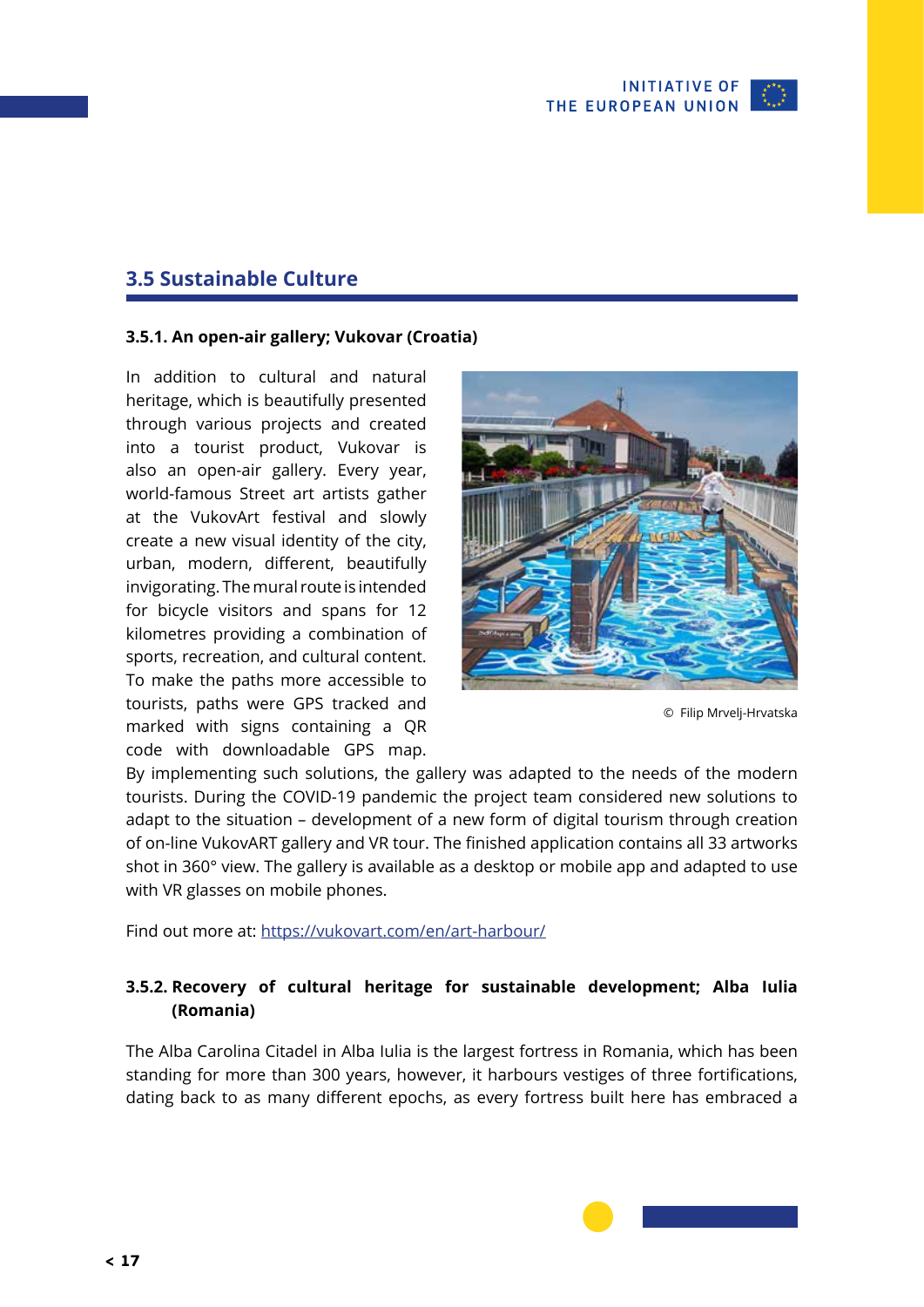

### <span id="page-16-0"></span>**3.5 Sustainable Culture**

### **3.5.1. An open-air gallery; Vukovar (Croatia)**

In addition to cultural and natural heritage, which is beautifully presented through various projects and created into a tourist product, Vukovar is also an open-air gallery. Every year, world-famous Street art artists gather at the VukovArt festival and slowly create a new visual identity of the city, urban, modern, different, beautifully invigorating. The mural route is intended for bicycle visitors and spans for 12 kilometres providing a combination of sports, recreation, and cultural content. To make the paths more accessible to tourists, paths were GPS tracked and marked with signs containing a QR code with downloadable GPS map.



© Filip Mrvelj-Hrvatska

By implementing such solutions, the gallery was adapted to the needs of the modern tourists. During the COVID-19 pandemic the project team considered new solutions to adapt to the situation – development of a new form of digital tourism through creation of on-line VukovART gallery and VR tour. The finished application contains all 33 artworks shot in 360° view. The gallery is available as a desktop or mobile app and adapted to use with VR glasses on mobile phones.

Find out more at:<https://vukovart.com/en/art-harbour/>

### **3.5.2. Recovery of cultural heritage for sustainable development; Alba Iulia (Romania)**

The Alba Carolina Citadel in Alba Iulia is the largest fortress in Romania, which has been standing for more than 300 years, however, it harbours vestiges of three fortifications, dating back to as many different epochs, as every fortress built here has embraced a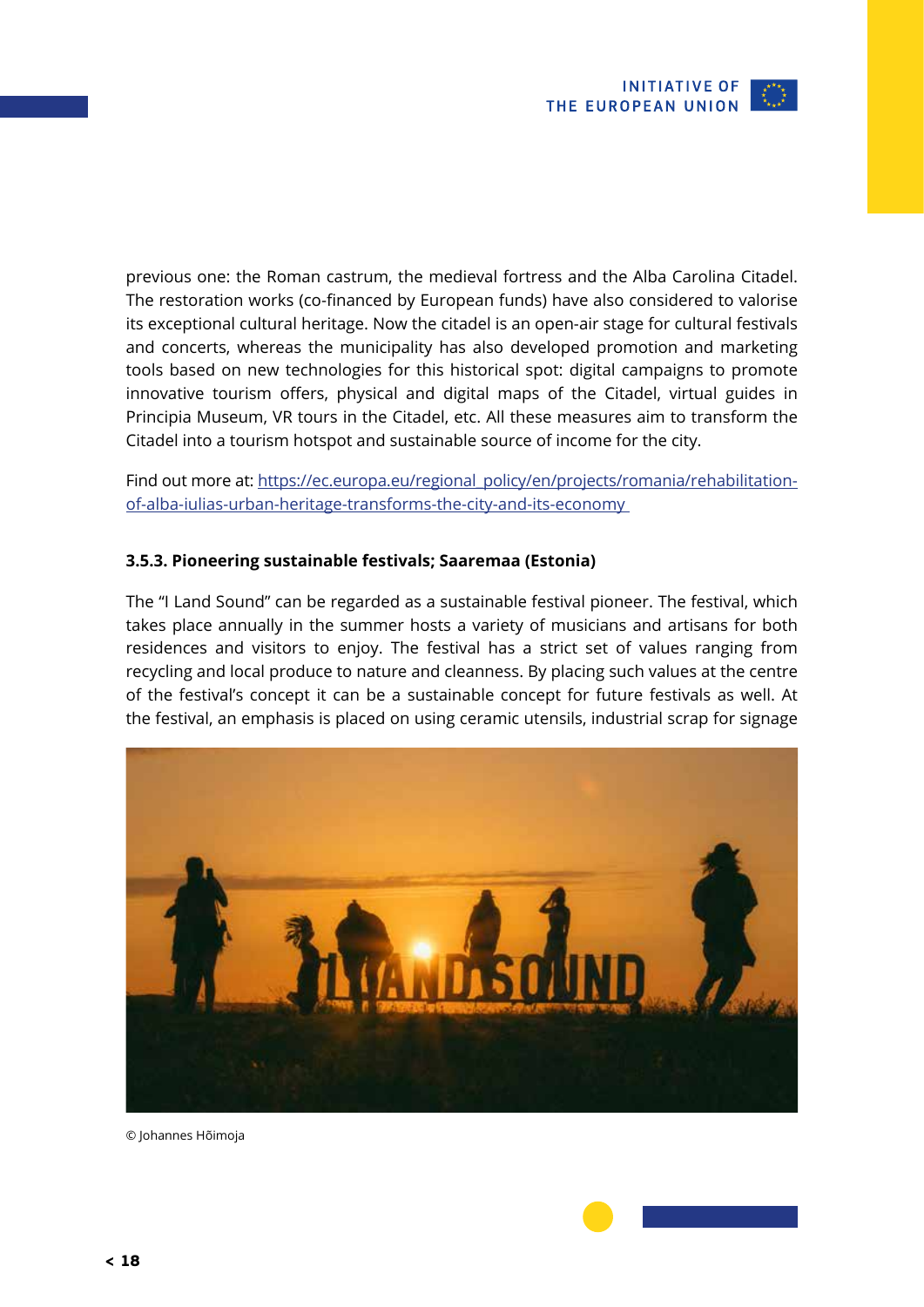

<span id="page-17-0"></span>previous one: the Roman castrum, the medieval fortress and the Alba Carolina Citadel. The restoration works (co-financed by European funds) have also considered to valorise its exceptional cultural heritage. Now the citadel is an open-air stage for cultural festivals and concerts, whereas the municipality has also developed promotion and marketing tools based on new technologies for this historical spot: digital campaigns to promote innovative tourism offers, physical and digital maps of the Citadel, virtual guides in Principia Museum, VR tours in the Citadel, etc. All these measures aim to transform the Citadel into a tourism hotspot and sustainable source of income for the city.

Find out more at: [https://ec.europa.eu/regional\\_policy/en/projects/romania/](https://ec.europa.eu/regional_policy/en/projects/romania/rehabilitation-of-alba-iulias-urban-heritage-transforms-the-city-and-its-economy)rehabilitation[of-alba-iulias-urban-heritage-transforms-the-city-and-its-economy](https://ec.europa.eu/regional_policy/en/projects/romania/rehabilitation-of-alba-iulias-urban-heritage-transforms-the-city-and-its-economy) 

### **3.5.3. Pioneering sustainable festivals; Saaremaa (Estonia)**

The "I Land Sound" can be regarded as a sustainable festival pioneer. The festival, which takes place annually in the summer hosts a variety of musicians and artisans for both residences and visitors to enjoy. The festival has a strict set of values ranging from recycling and local produce to nature and cleanness. By placing such values at the centre of the festival's concept it can be a sustainable concept for future festivals as well. At the festival, an emphasis is placed on using ceramic utensils, industrial scrap for signage



© Johannes Hõimoja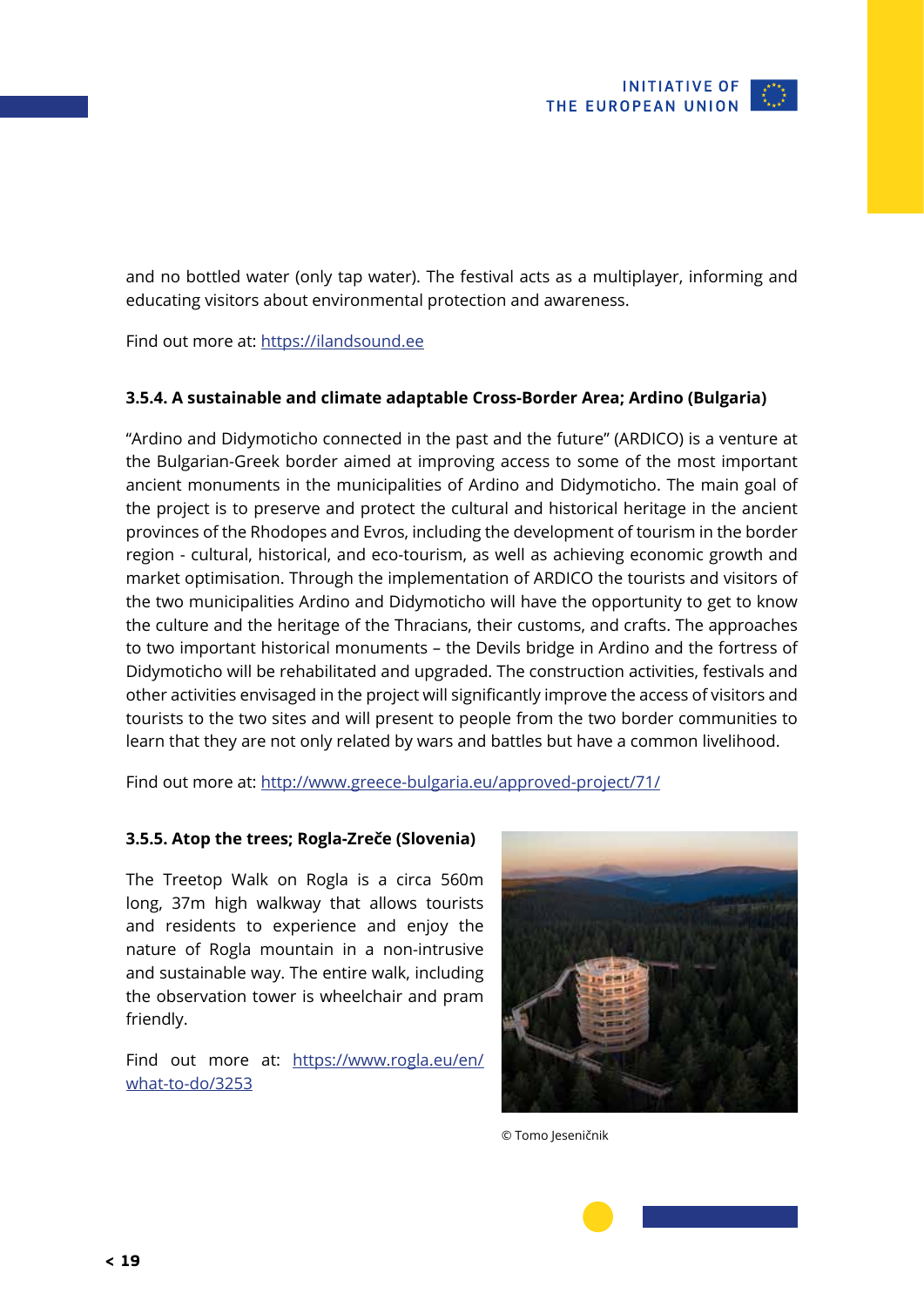<span id="page-18-0"></span>and no bottled water (only tap water). The festival acts as a multiplayer, informing and educating visitors about environmental protection and awareness.

Find out more at:<https://ilandsound.ee>

### **3.5.4. A sustainable and climate adaptable Cross-Border Area; Ardino (Bulgaria)**

"Ardino and Didymoticho connected in the past and the future" (ARDICO) is a venture at the Bulgarian-Greek border aimed at improving access to some of the most important ancient monuments in the municipalities of Ardino and Didymoticho. The main goal of the project is to preserve and protect the cultural and historical heritage in the ancient provinces of the Rhodopes and Evros, including the development of tourism in the border region - cultural, historical, and eco-tourism, as well as achieving economic growth and market optimisation. Through the implementation of ARDICO the tourists and visitors of the two municipalities Ardino and Didymoticho will have the opportunity to get to know the culture and the heritage of the Thracians, their customs, and crafts. The approaches to two important historical monuments – the Devils bridge in Ardino and the fortress of Didymoticho will be rehabilitated and upgraded. The construction activities, festivals and other activities envisaged in the project will significantly improve the access of visitors and tourists to the two sites and will present to people from the two border communities to learn that they are not only related by wars and battles but have a common livelihood.

Find out more at:<http://www.greece-bulgaria.eu/approved-project/71/>

#### **3.5.5. Atop the trees; Rogla-Zreče (Slovenia)**

The Treetop Walk on Rogla is a circa 560m long, 37m high walkway that allows tourists and residents to experience and enjoy the nature of Rogla mountain in a non-intrusive and sustainable way. The entire walk, including the observation tower is wheelchair and pram friendly.

Find out more at: [https://www.rogla.eu/en/](https://www.rogla.eu/en/what-to-do/3253) [what-to-do/3253](https://www.rogla.eu/en/what-to-do/3253)



© Tomo Jeseničnik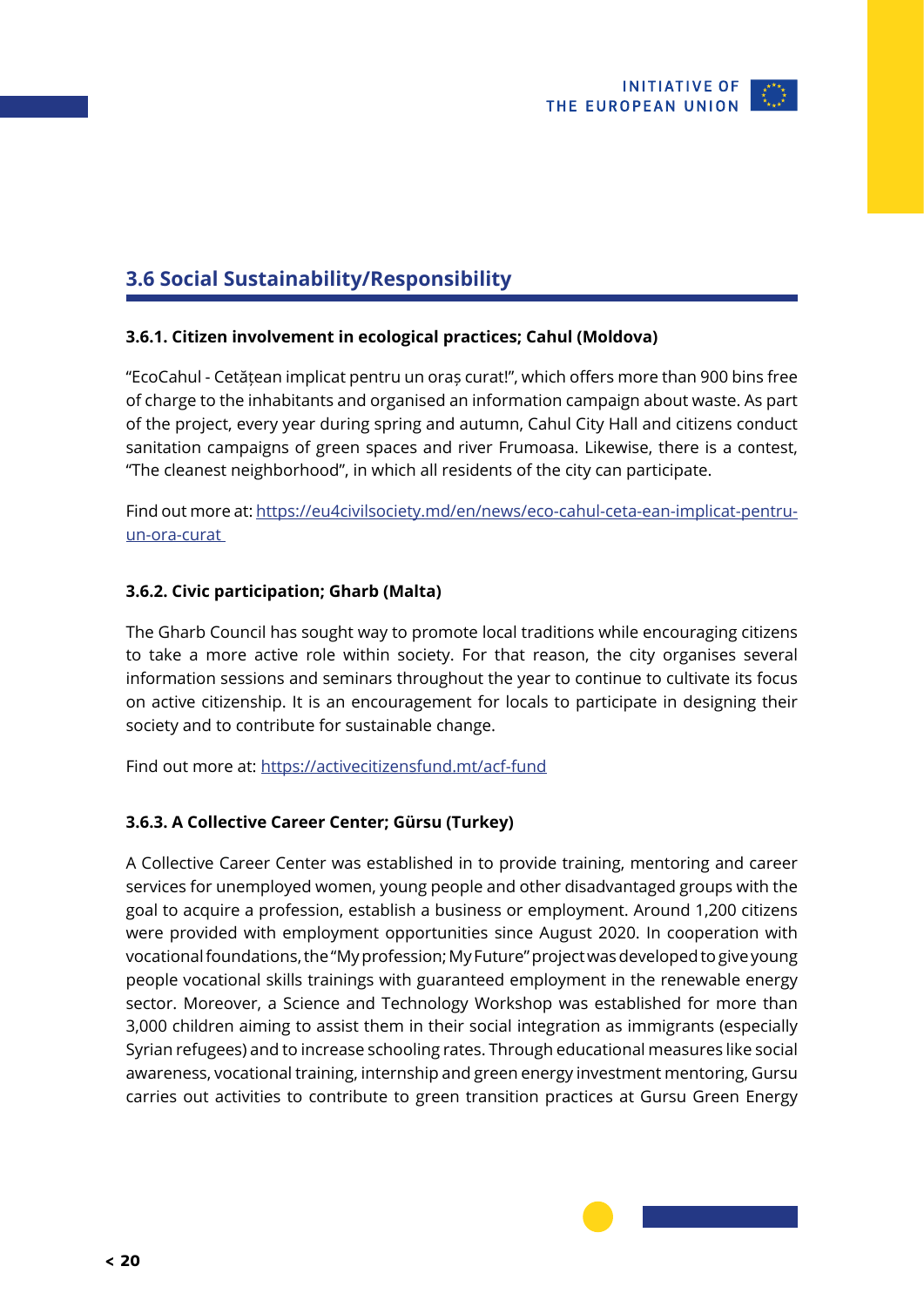

## <span id="page-19-0"></span>**3.6 Social Sustainability/Responsibility**

### **3.6.1. Citizen involvement in ecological practices; Cahul (Moldova)**

"EcoCahul - Cetățean implicat pentru un oraș curat!", which offers more than 900 bins free of charge to the inhabitants and organised an information campaign about waste. As part of the project, every year during spring and autumn, Cahul City Hall and citizens conduct sanitation campaigns of green spaces and river Frumoasa. Likewise, there is a contest, "The cleanest neighborhood", in which all residents of the city can participate.

Find out more at: [https://eu4civilsociety.md/en/news/eco-cahul-ceta-ean-implicat-pentru](https://eu4civilsociety.md/en/news/eco-cahul-ceta-ean-implicat-pentru-un-ora-curat )[un-ora-curat](https://eu4civilsociety.md/en/news/eco-cahul-ceta-ean-implicat-pentru-un-ora-curat ) 

### **3.6.2. Civic participation; Gharb (Malta)**

The Gharb Council has sought way to promote local traditions while encouraging citizens to take a more active role within society. For that reason, the city organises several information sessions and seminars throughout the year to continue to cultivate its focus on active citizenship. It is an encouragement for locals to participate in designing their society and to contribute for sustainable change.

Find out more at:<https://activecitizensfund.mt/acf-fund>

### **3.6.3. A Collective Career Center; Gürsu (Turkey)**

A Collective Career Center was established in to provide training, mentoring and career services for unemployed women, young people and other disadvantaged groups with the goal to acquire a profession, establish a business or employment. Around 1,200 citizens were provided with employment opportunities since August 2020. In cooperation with vocational foundations, the "My profession; My Future" project was developed to give young people vocational skills trainings with guaranteed employment in the renewable energy sector. Moreover, a Science and Technology Workshop was established for more than 3,000 children aiming to assist them in their social integration as immigrants (especially Syrian refugees) and to increase schooling rates. Through educational measures like social awareness, vocational training, internship and green energy investment mentoring, Gursu carries out activities to contribute to green transition practices at Gursu Green Energy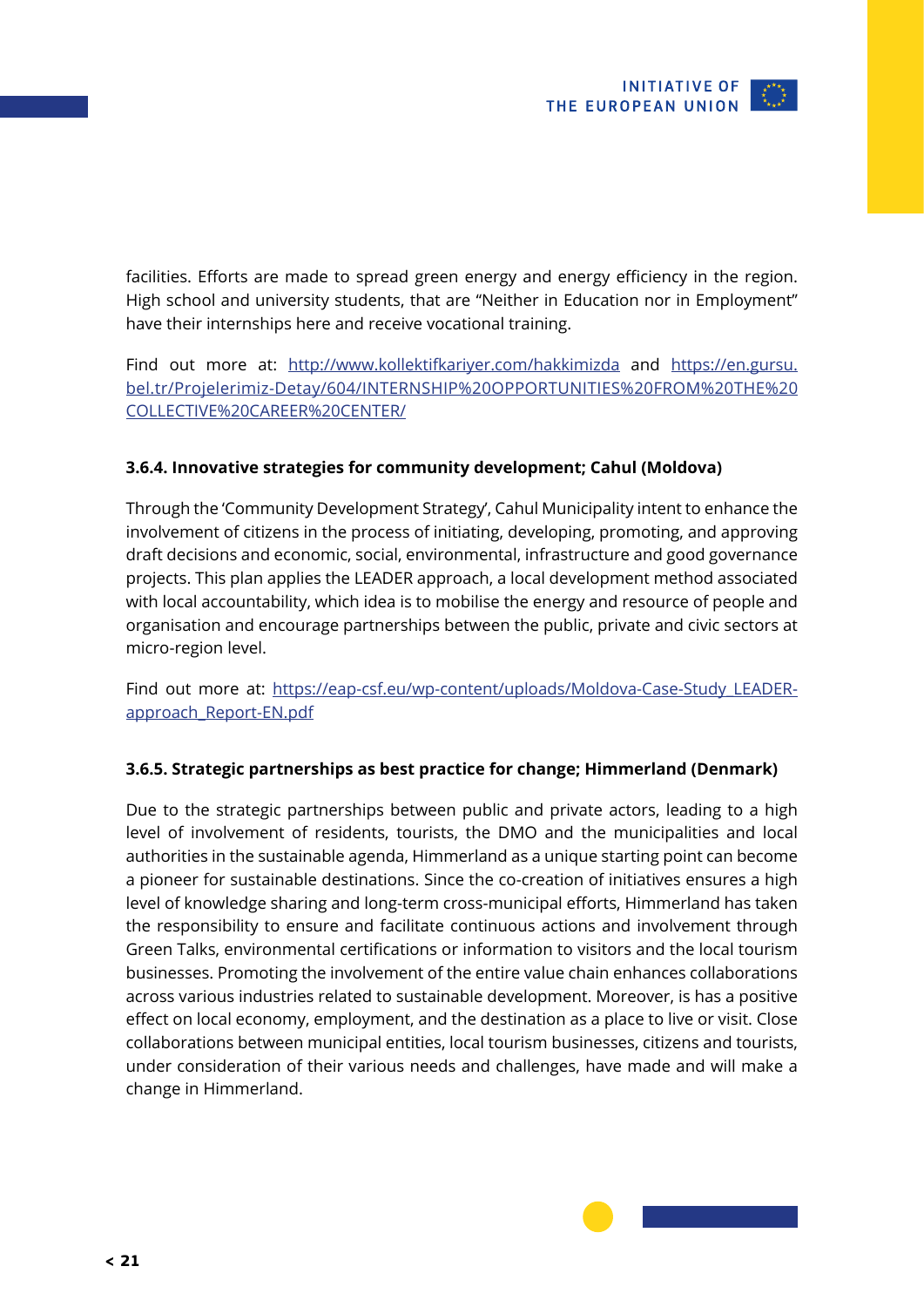<span id="page-20-0"></span>facilities. Efforts are made to spread green energy and energy efficiency in the region. High school and university students, that are "Neither in Education nor in Employment" have their internships here and receive vocational training.

Find out more at: <http://www.kollektifkariyer.com/hakkimizda> and [https://en.gursu.](https://en.gursu.bel.tr/Projelerimiz-Detay/604/INTERNSHIP%20OPPORTUNITIES%20FROM%20THE%20COLLECTIVE%20CAREER%20CENTER/) [bel.tr/Projelerimiz-Detay/604/INTERNSHIP%20OPPORTUNITIES%20FROM%20THE%20](https://en.gursu.bel.tr/Projelerimiz-Detay/604/INTERNSHIP%20OPPORTUNITIES%20FROM%20THE%20COLLECTIVE%20CAREER%20CENTER/) [COLLECTIVE%20CAREER%20CENTER/](https://en.gursu.bel.tr/Projelerimiz-Detay/604/INTERNSHIP%20OPPORTUNITIES%20FROM%20THE%20COLLECTIVE%20CAREER%20CENTER/)

### **3.6.4. Innovative strategies for community development; Cahul (Moldova)**

Through the 'Community Development Strategy', Cahul Municipality intent to enhance the involvement of citizens in the process of initiating, developing, promoting, and approving draft decisions and economic, social, environmental, infrastructure and good governance projects. This plan applies the LEADER approach, a local development method associated with local accountability, which idea is to mobilise the energy and resource of people and organisation and encourage partnerships between the public, private and civic sectors at micro-region level.

Find out more at: [https://eap-csf.eu/wp-content/uploads/Moldova-Case-Study\\_LEADER](https://eap-csf.eu/wp-content/uploads/Moldova-Case-Study_LEADER-approach_Report-EN.pdf)[approach\\_Report-EN.pdf](https://eap-csf.eu/wp-content/uploads/Moldova-Case-Study_LEADER-approach_Report-EN.pdf)

### **3.6.5. Strategic partnerships as best practice for change; Himmerland (Denmark)**

Due to the strategic partnerships between public and private actors, leading to a high level of involvement of residents, tourists, the DMO and the municipalities and local authorities in the sustainable agenda, Himmerland as a unique starting point can become a pioneer for sustainable destinations. Since the co-creation of initiatives ensures a high level of knowledge sharing and long-term cross-municipal efforts, Himmerland has taken the responsibility to ensure and facilitate continuous actions and involvement through Green Talks, environmental certifications or information to visitors and the local tourism businesses. Promoting the involvement of the entire value chain enhances collaborations across various industries related to sustainable development. Moreover, is has a positive effect on local economy, employment, and the destination as a place to live or visit. Close collaborations between municipal entities, local tourism businesses, citizens and tourists, under consideration of their various needs and challenges, have made and will make a change in Himmerland.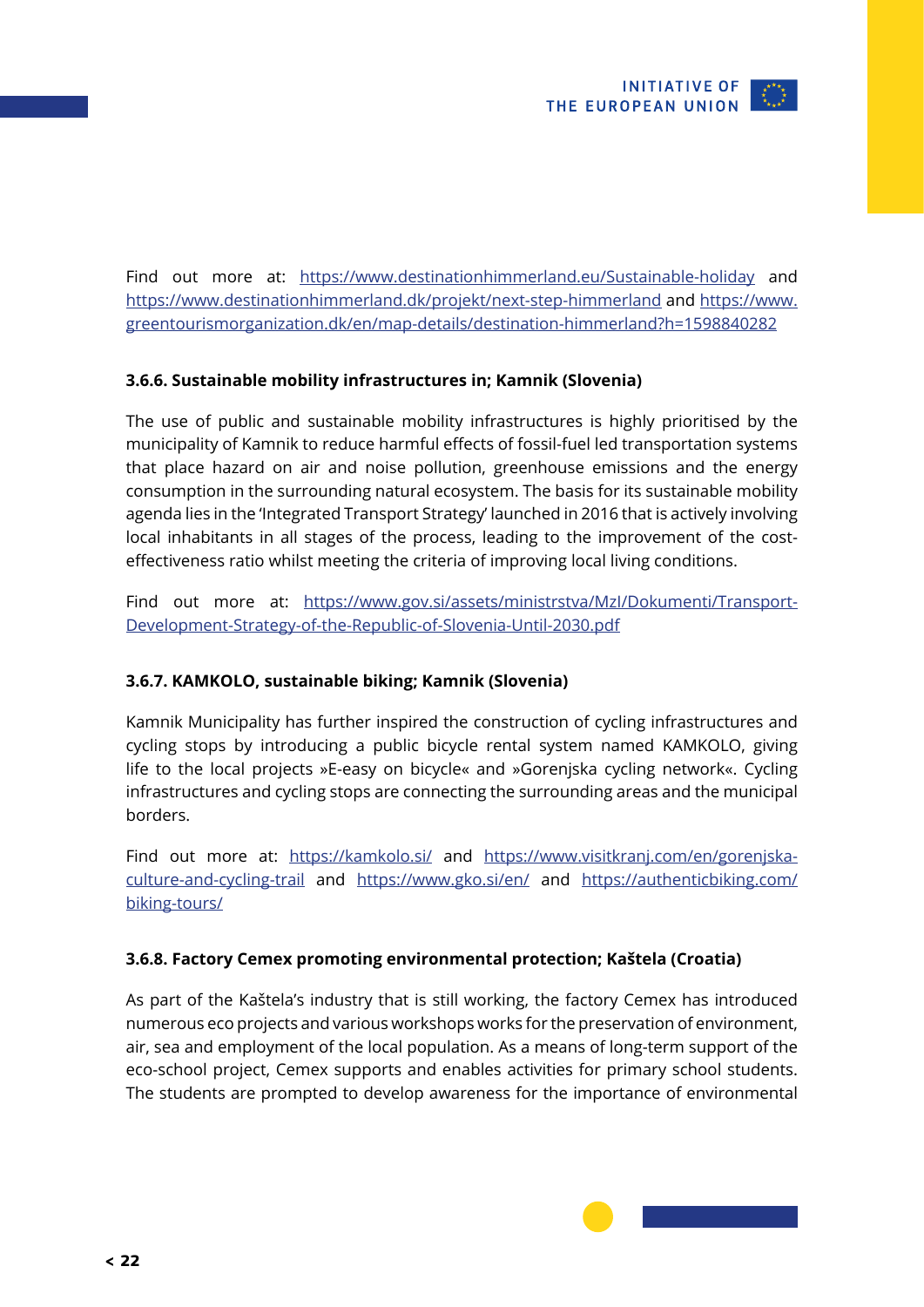

<span id="page-21-0"></span>Find out more at: <https://www.destinationhimmerland.eu/Sustainable-holiday> and <https://www.destinationhimmerland.dk/projekt/next-step-himmerland> and [https://www.](https://www.greentourismorganization.dk/en/map-details/destination-himmerland?h=1598840282) [greentourismorganization.dk/en/map-details/destination-himmerland?h=1598840282](https://www.greentourismorganization.dk/en/map-details/destination-himmerland?h=1598840282)

### **3.6.6. Sustainable mobility infrastructures in; Kamnik (Slovenia)**

The use of public and sustainable mobility infrastructures is highly prioritised by the municipality of Kamnik to reduce harmful effects of fossil-fuel led transportation systems that place hazard on air and noise pollution, greenhouse emissions and the energy consumption in the surrounding natural ecosystem. The basis for its sustainable mobility agenda lies in the 'Integrated Transport Strategy' launched in 2016 that is actively involving local inhabitants in all stages of the process, leading to the improvement of the costeffectiveness ratio whilst meeting the criteria of improving local living conditions.

Find out more at: https://www.gov.si/assets/ministrstva/Mzl/Dokumenti/Transport-[Development-Strategy-of-the-Republic-of-Slovenia-Until-2030.pdf](https://www.gov.si/assets/ministrstva/MzI/Dokumenti/Transport-Development-Strategy-of-the-Republic-of-Slovenia-Until-2030.pdf)

### **3.6.7. KAMKOLO, sustainable biking; Kamnik (Slovenia)**

Kamnik Municipality has further inspired the construction of cycling infrastructures and cycling stops by introducing a public bicycle rental system named KAMKOLO, giving life to the local projects »E-easy on bicycle« and »Gorenjska cycling network«. Cycling infrastructures and cycling stops are connecting the surrounding areas and the municipal borders.

Find out more at: <https://kamkolo.si/> and [https://www.visitkranj.com/en/gorenjska](https://www.visitkranj.com/en/gorenjska-culture-and-cycling-trail)[culture-and-cycling-trail](https://www.visitkranj.com/en/gorenjska-culture-and-cycling-trail) and <https://www.gko.si/en/> and [https://authenticbiking.com/](https://authenticbiking.com/biking-tours/) [biking-tours/](https://authenticbiking.com/biking-tours/)

### **3.6.8. Factory Cemex promoting environmental protection; Kaštela (Croatia)**

As part of the Kaštela's industry that is still working, the factory Cemex has introduced numerous eco projects and various workshops works for the preservation of environment, air, sea and employment of the local population. As a means of long-term support of the eco-school project, Cemex supports and enables activities for primary school students. The students are prompted to develop awareness for the importance of environmental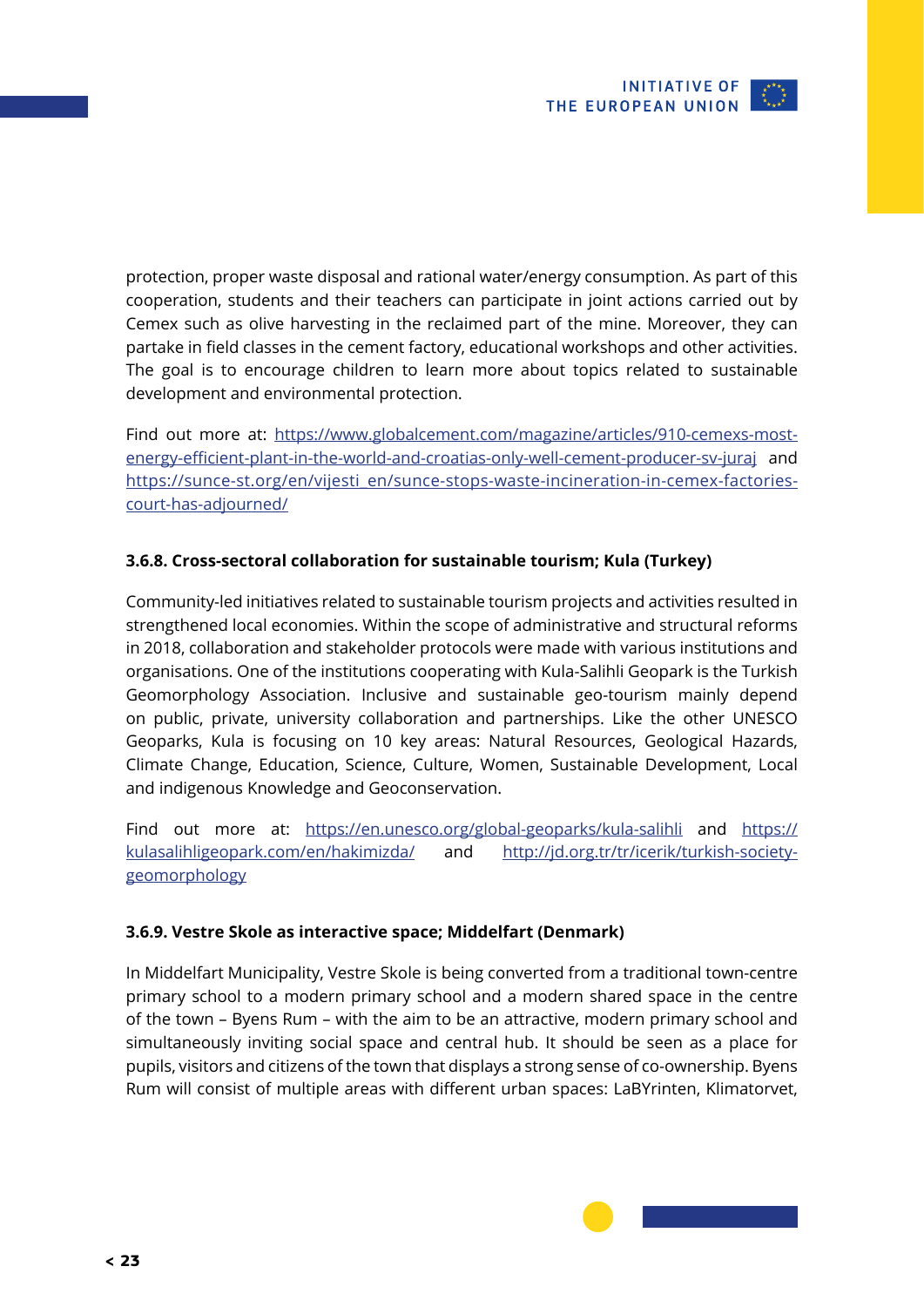

<span id="page-22-0"></span>protection, proper waste disposal and rational water/energy consumption. As part of this cooperation, students and their teachers can participate in joint actions carried out by Cemex such as olive harvesting in the reclaimed part of the mine. Moreover, they can partake in field classes in the cement factory, educational workshops and other activities. The goal is to encourage children to learn more about topics related to sustainable development and environmental protection.

Find out more at: [https://www.globalcement.com/magazine/articles/910-cemexs-most](https://www.globalcement.com/magazine/articles/910-cemexs-most-energy-efficient-plant-in-the-world-and-croatias-only-well-cement-producer-sv-juraj)[energy-efficient-plant-in-the-world-and-croatias-only-well-cement-producer-sv-juraj](https://www.globalcement.com/magazine/articles/910-cemexs-most-energy-efficient-plant-in-the-world-and-croatias-only-well-cement-producer-sv-juraj) and [https://sunce-st.org/en/vijesti\\_en/sunce-stops-waste-incineration-in-cemex-factories](https://sunce-st.org/en/vijesti_en/sunce-stops-waste-incineration-in-cemex-factories-court-has-adjourned/)[court-has-adjourned/](https://sunce-st.org/en/vijesti_en/sunce-stops-waste-incineration-in-cemex-factories-court-has-adjourned/)

### **3.6.8. Cross-sectoral collaboration for sustainable tourism; Kula (Turkey)**

Community-led initiatives related to sustainable tourism projects and activities resulted in strengthened local economies. Within the scope of administrative and structural reforms in 2018, collaboration and stakeholder protocols were made with various institutions and organisations. One of the institutions cooperating with Kula-Salihli Geopark is the Turkish Geomorphology Association. Inclusive and sustainable geo-tourism mainly depend on public, private, university collaboration and partnerships. Like the other UNESCO Geoparks, Kula is focusing on 10 key areas: Natural Resources, Geological Hazards, Climate Change, Education, Science, Culture, Women, Sustainable Development, Local and indigenous Knowledge and Geoconservation.

Find out more at: <https://en.unesco.org/global-geoparks/kula-salihli> and [https://](https://kulasalihligeopark.com/en/hakimizda/) [kulasalihligeopark.com/en/hakimizda/](https://kulasalihligeopark.com/en/hakimizda/) and [http://jd.org.tr/tr/icerik/turkish-society](http://jd.org.tr/tr/icerik/turkish-society-geomorphology)[geomorphology](http://jd.org.tr/tr/icerik/turkish-society-geomorphology)

### **3.6.9. Vestre Skole as interactive space; Middelfart (Denmark)**

In Middelfart Municipality, Vestre Skole is being converted from a traditional town-centre primary school to a modern primary school and a modern shared space in the centre of the town – Byens Rum – with the aim to be an attractive, modern primary school and simultaneously inviting social space and central hub. It should be seen as a place for pupils, visitors and citizens of the town that displays a strong sense of co-ownership. Byens Rum will consist of multiple areas with different urban spaces: LaBYrinten, Klimatorvet,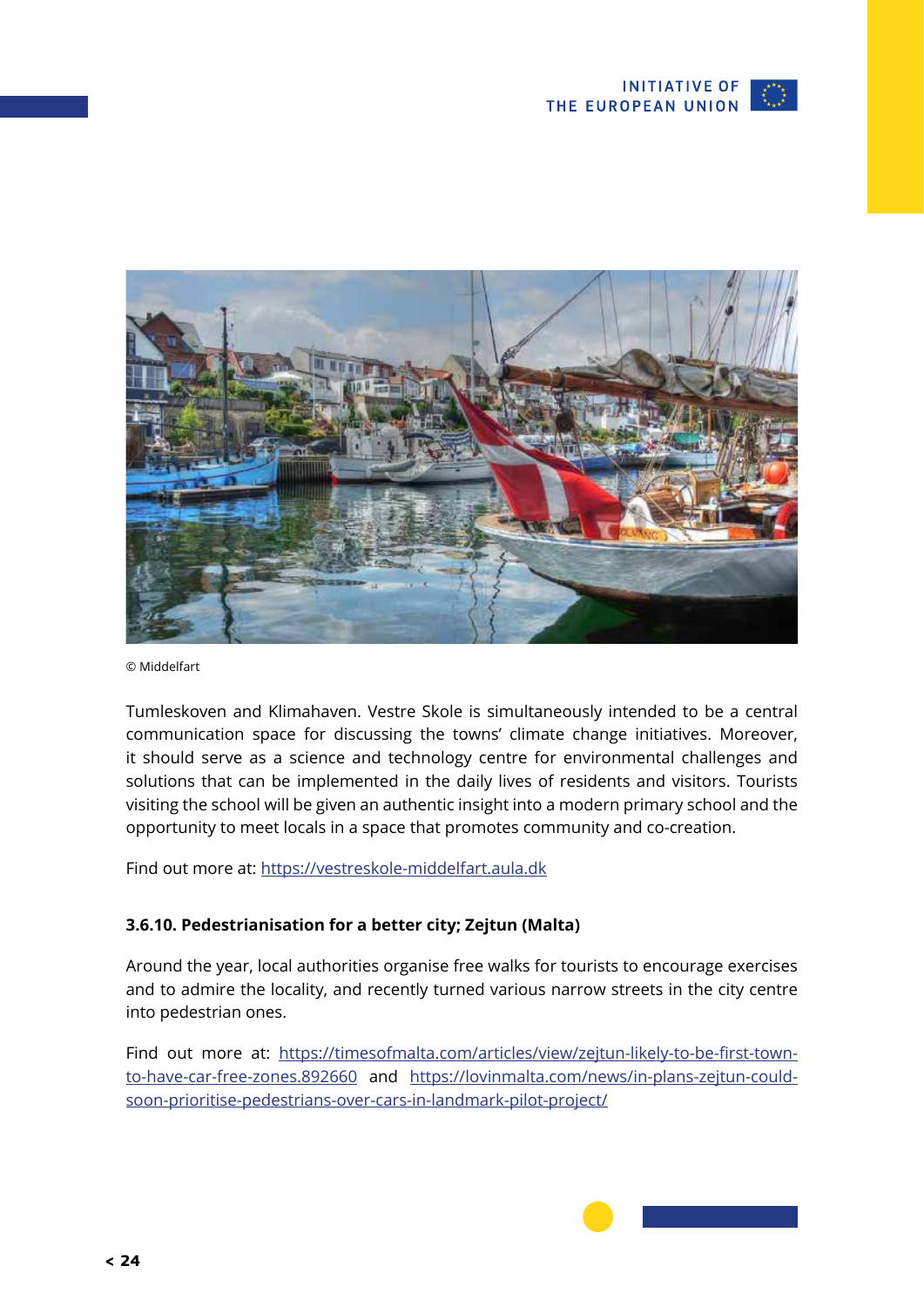

<span id="page-23-0"></span>

© Middelfart

Tumleskoven and Klimahaven. Vestre Skole is simultaneously intended to be a central communication space for discussing the towns' climate change initiatives. Moreover, it should serve as a science and technology centre for environmental challenges and solutions that can be implemented in the daily lives of residents and visitors. Tourists visiting the school will be given an authentic insight into a modern primary school and the opportunity to meet locals in a space that promotes community and co-creation.

Find out more at:<https://vestreskole-middelfart.aula.dk>

### **3.6.10. Pedestrianisation for a better city; Zejtun (Malta)**

Around the year, local authorities organise free walks for tourists to encourage exercises and to admire the locality, and recently turned various narrow streets in the city centre into pedestrian ones.

Find out more at: [https://timesofmalta.com/articles/view/zejtun-likely-to-be-first-town](https://timesofmalta.com/articles/view/zejtun-likely-to-be-first-town-to-have-car-free-zones.892660)[to-have-car-free-zones.892660](https://timesofmalta.com/articles/view/zejtun-likely-to-be-first-town-to-have-car-free-zones.892660) and [https://lovinmalta.com/news/in-plans-zejtun-could](https://lovinmalta.com/news/in-plans-zejtun-could-soon-prioritise-pedestrians-over-cars-in-landmark-pilot-project/)[soon-prioritise-pedestrians-over-cars-in-landmark-pilot-project/](https://lovinmalta.com/news/in-plans-zejtun-could-soon-prioritise-pedestrians-over-cars-in-landmark-pilot-project/)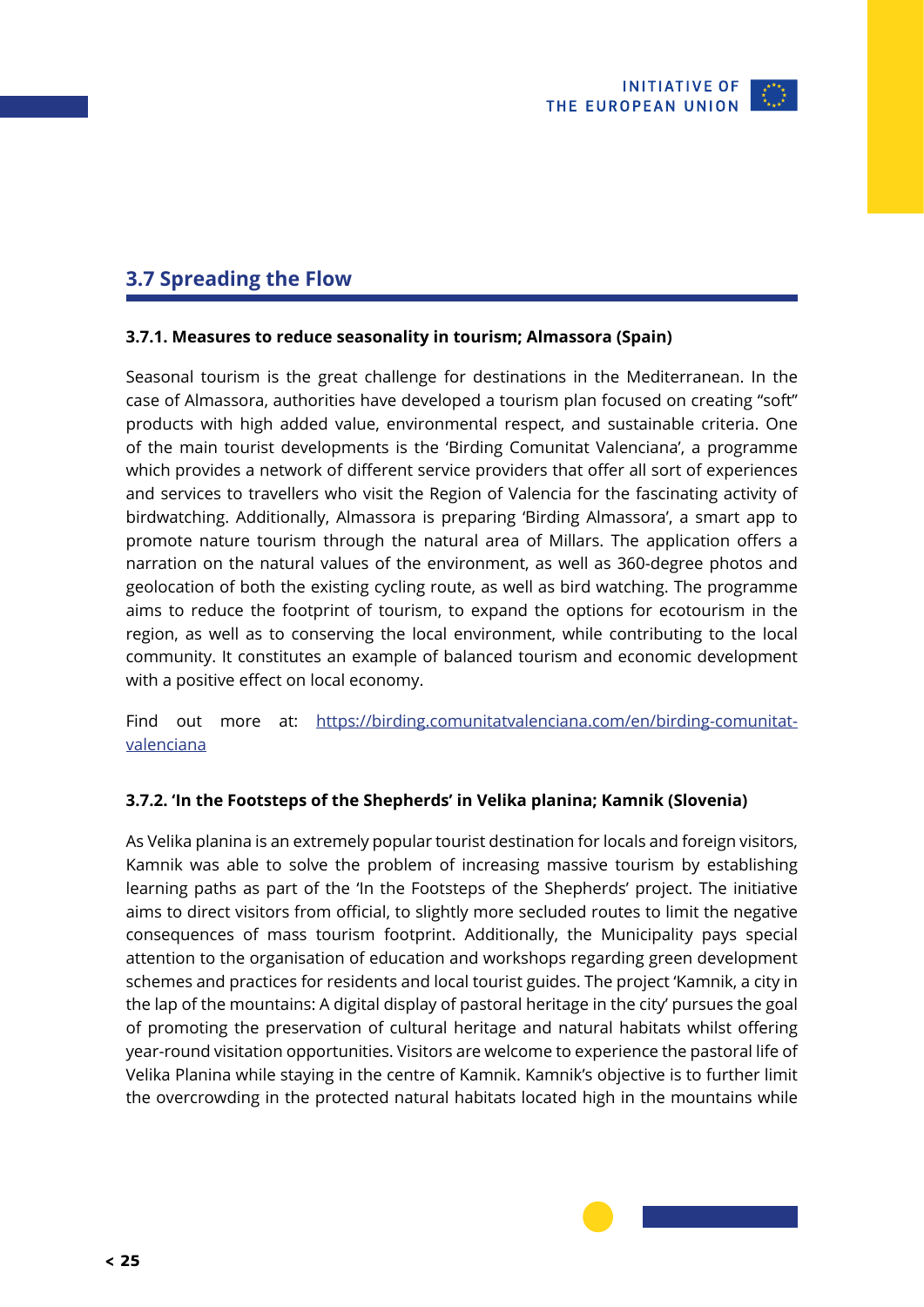

### <span id="page-24-0"></span>**3.7 Spreading the Flow**

### **3.7.1. Measures to reduce seasonality in tourism; Almassora (Spain)**

Seasonal tourism is the great challenge for destinations in the Mediterranean. In the case of Almassora, authorities have developed a tourism plan focused on creating "soft" products with high added value, environmental respect, and sustainable criteria. One of the main tourist developments is the 'Birding Comunitat Valenciana', a programme which provides a network of different service providers that offer all sort of experiences and services to travellers who visit the Region of Valencia for the fascinating activity of birdwatching. Additionally, Almassora is preparing 'Birding Almassora', a smart app to promote nature tourism through the natural area of Millars. The application offers a narration on the natural values of the environment, as well as 360-degree photos and geolocation of both the existing cycling route, as well as bird watching. The programme aims to reduce the footprint of tourism, to expand the options for ecotourism in the region, as well as to conserving the local environment, while contributing to the local community. It constitutes an example of balanced tourism and economic development with a positive effect on local economy.

Find out more at: [https://birding.comunitatvalenciana.com/en/birding-comunitat](https://birding.comunitatvalenciana.com/en/birding-comunitat-valenciana)[valenciana](https://birding.comunitatvalenciana.com/en/birding-comunitat-valenciana)

### **3.7.2. 'In the Footsteps of the Shepherds' in Velika planina; Kamnik (Slovenia)**

As Velika planina is an extremely popular tourist destination for locals and foreign visitors, Kamnik was able to solve the problem of increasing massive tourism by establishing learning paths as part of the 'In the Footsteps of the Shepherds' project. The initiative aims to direct visitors from official, to slightly more secluded routes to limit the negative consequences of mass tourism footprint. Additionally, the Municipality pays special attention to the organisation of education and workshops regarding green development schemes and practices for residents and local tourist guides. The project 'Kamnik, a city in the lap of the mountains: A digital display of pastoral heritage in the city' pursues the goal of promoting the preservation of cultural heritage and natural habitats whilst offering year-round visitation opportunities. Visitors are welcome to experience the pastoral life of Velika Planina while staying in the centre of Kamnik. Kamnik's objective is to further limit the overcrowding in the protected natural habitats located high in the mountains while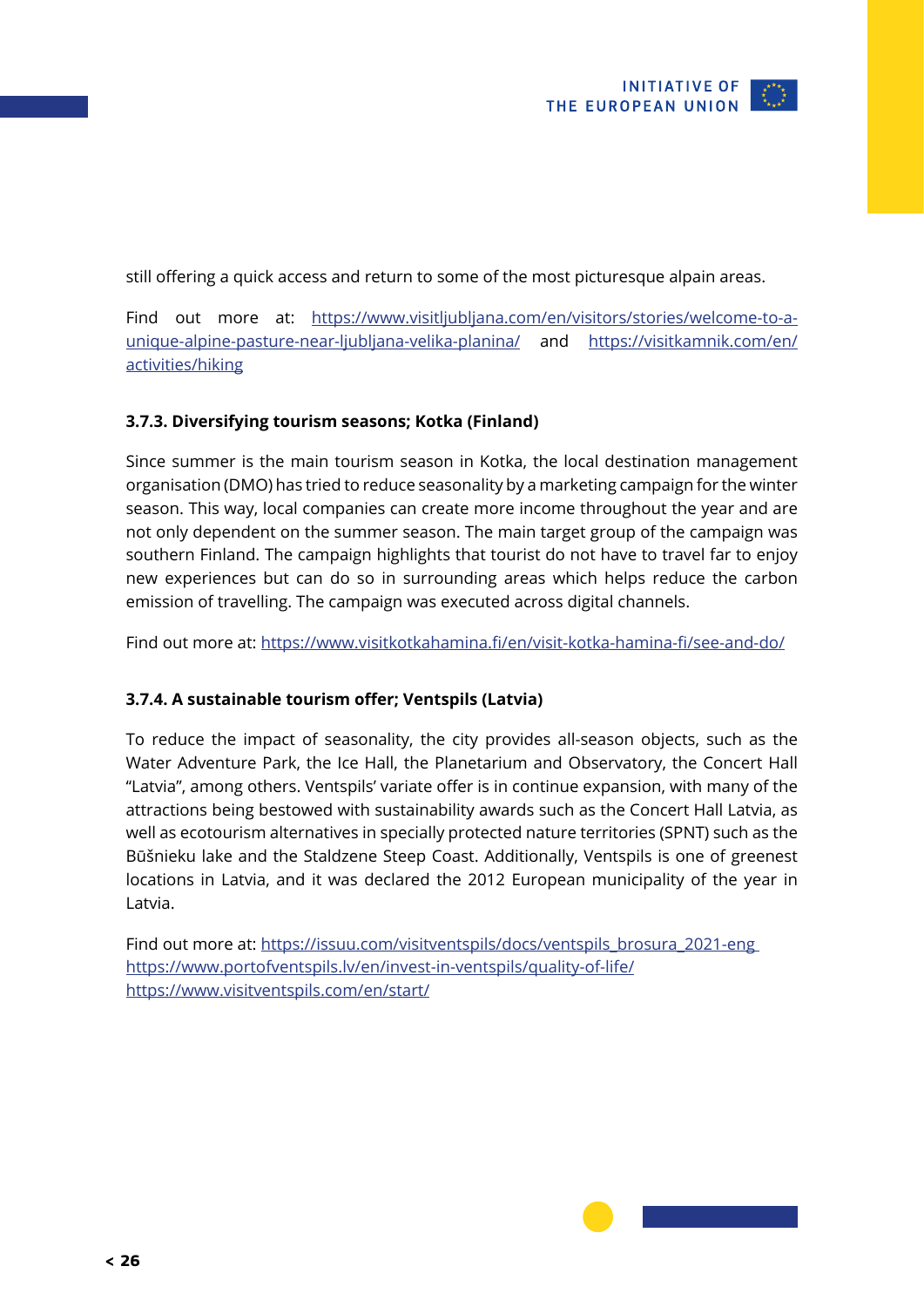

<span id="page-25-0"></span>still offering a quick access and return to some of the most picturesque alpain areas.

Find out more at: [https://www.visitljubljana.com/en/visitors/stories/welcome-to-a](https://www.visitljubljana.com/en/visitors/stories/welcome-to-a-unique-alpine-pasture-near-ljubljana-velika-planina/)[unique-alpine-pasture-near-ljubljana-velika-planina/](https://www.visitljubljana.com/en/visitors/stories/welcome-to-a-unique-alpine-pasture-near-ljubljana-velika-planina/) and [https://visitkamnik.com/en/](https://visitkamnik.com/en/activities/hiking) [activities/hiking](https://visitkamnik.com/en/activities/hiking)

### **3.7.3. Diversifying tourism seasons; Kotka (Finland)**

Since summer is the main tourism season in Kotka, the local destination management organisation (DMO) has tried to reduce seasonality by a marketing campaign for the winter season. This way, local companies can create more income throughout the year and are not only dependent on the summer season. The main target group of the campaign was southern Finland. The campaign highlights that tourist do not have to travel far to enjoy new experiences but can do so in surrounding areas which helps reduce the carbon emission of travelling. The campaign was executed across digital channels.

Find out more at:<https://www.visitkotkahamina.fi/en/visit-kotka-hamina-fi/see-and-do/>

### **3.7.4. A sustainable tourism offer; Ventspils (Latvia)**

To reduce the impact of seasonality, the city provides all-season objects, such as the Water Adventure Park, the Ice Hall, the Planetarium and Observatory, the Concert Hall "Latvia", among others. Ventspils' variate offer is in continue expansion, with many of the attractions being bestowed with sustainability awards such as the Concert Hall Latvia, as well as ecotourism alternatives in specially protected nature territories (SPNT) such as the Būšnieku lake and the Staldzene Steep Coast. Additionally, Ventspils is one of greenest locations in Latvia, and it was declared the 2012 European municipality of the year in Latvia.

Find out more at: [https://issuu.com/visitventspils/docs/ventspils\\_brosura\\_2021-eng](https://issuu.com/visitventspils/docs/ventspils_brosura_2021-eng) <https://www.portofventspils.lv/en/invest-in-ventspils/quality-of-life/> <https://www.visitventspils.com/en/start/>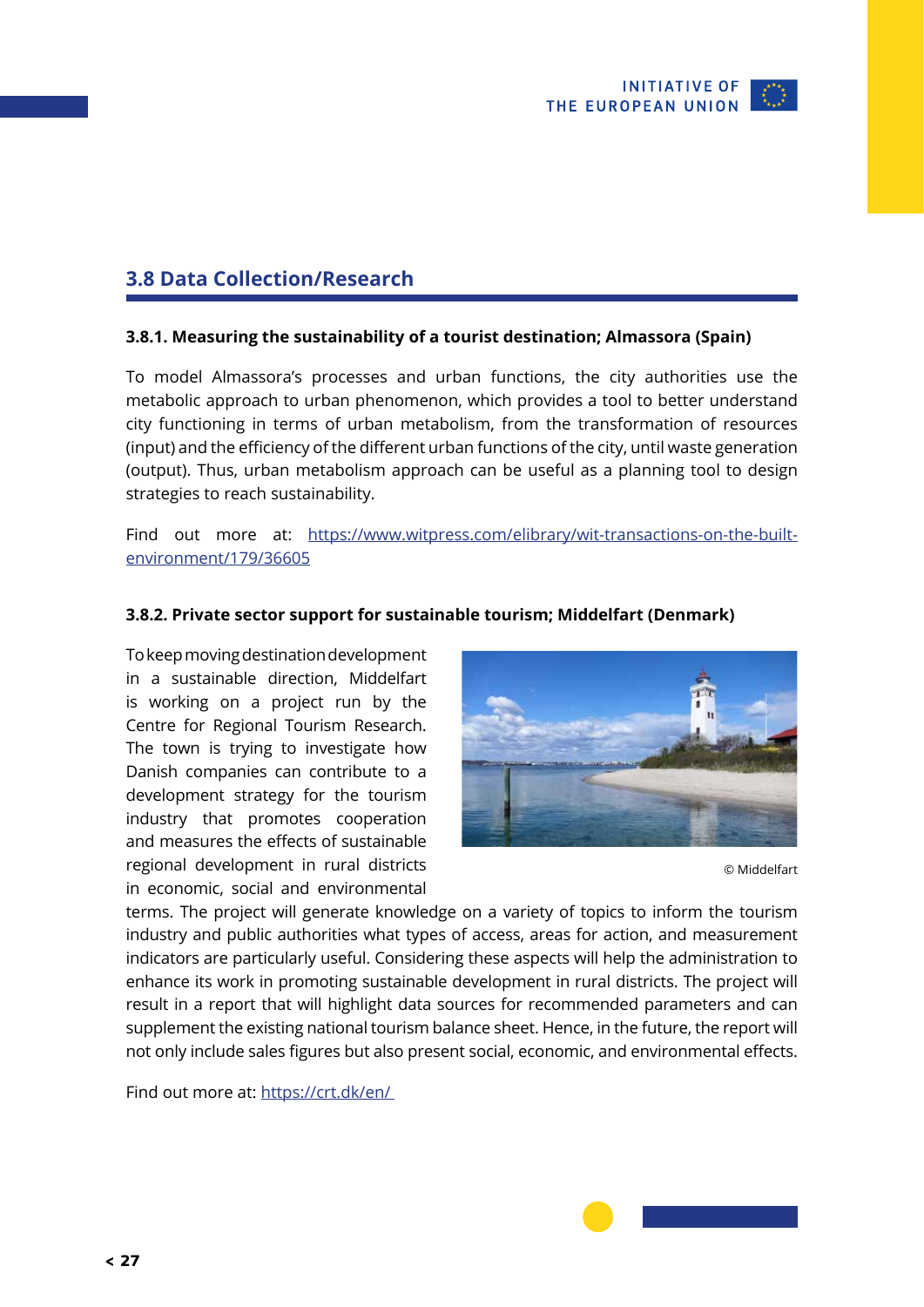

### <span id="page-26-0"></span>**3.8 Data Collection/Research**

### **3.8.1. Measuring the sustainability of a tourist destination; Almassora (Spain)**

To model Almassora's processes and urban functions, the city authorities use the metabolic approach to urban phenomenon, which provides a tool to better understand city functioning in terms of urban metabolism, from the transformation of resources (input) and the efficiency of the different urban functions of the city, until waste generation (output). Thus, urban metabolism approach can be useful as a planning tool to design strategies to reach sustainability.

Find out more at: [https://www.witpress.com/elibrary/wit-transactions-on-the-built](https://www.witpress.com/elibrary/wit-transactions-on-the-built-environment/179/36605)[environment/179/36605](https://www.witpress.com/elibrary/wit-transactions-on-the-built-environment/179/36605)

#### **3.8.2. Private sector support for sustainable tourism; Middelfart (Denmark)**

To keep moving destination development in a sustainable direction, Middelfart is working on a project run by the Centre for Regional Tourism Research. The town is trying to investigate how Danish companies can contribute to a development strategy for the tourism industry that promotes cooperation and measures the effects of sustainable regional development in rural districts in economic, social and environmental



© Middelfart

terms. The project will generate knowledge on a variety of topics to inform the tourism industry and public authorities what types of access, areas for action, and measurement indicators are particularly useful. Considering these aspects will help the administration to enhance its work in promoting sustainable development in rural districts. The project will result in a report that will highlight data sources for recommended parameters and can supplement the existing national tourism balance sheet. Hence, in the future, the report will not only include sales figures but also present social, economic, and environmental effects.

Find out more at: [https://crt.dk/en/](https://crt.dk/en/ )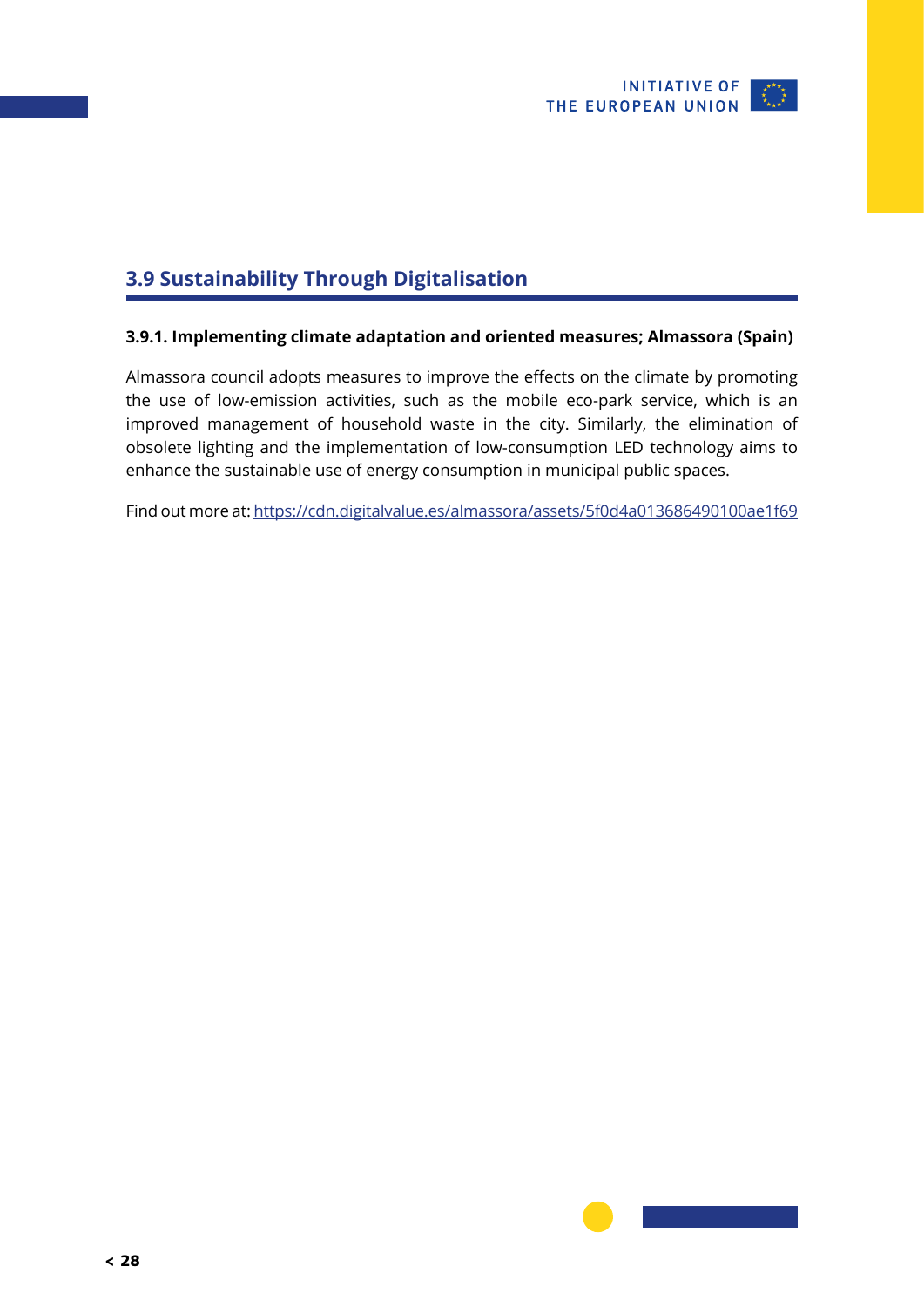

## <span id="page-27-0"></span>**3.9 Sustainability Through Digitalisation**

### **3.9.1. Implementing climate adaptation and oriented measures; Almassora (Spain)**

Almassora council adopts measures to improve the effects on the climate by promoting the use of low-emission activities, such as the mobile eco-park service, which is an improved management of household waste in the city. Similarly, the elimination of obsolete lighting and the implementation of low-consumption LED technology aims to enhance the sustainable use of energy consumption in municipal public spaces.

Find out more at:<https://cdn.digitalvalue.es/almassora/assets/5f0d4a013686490100ae1f69>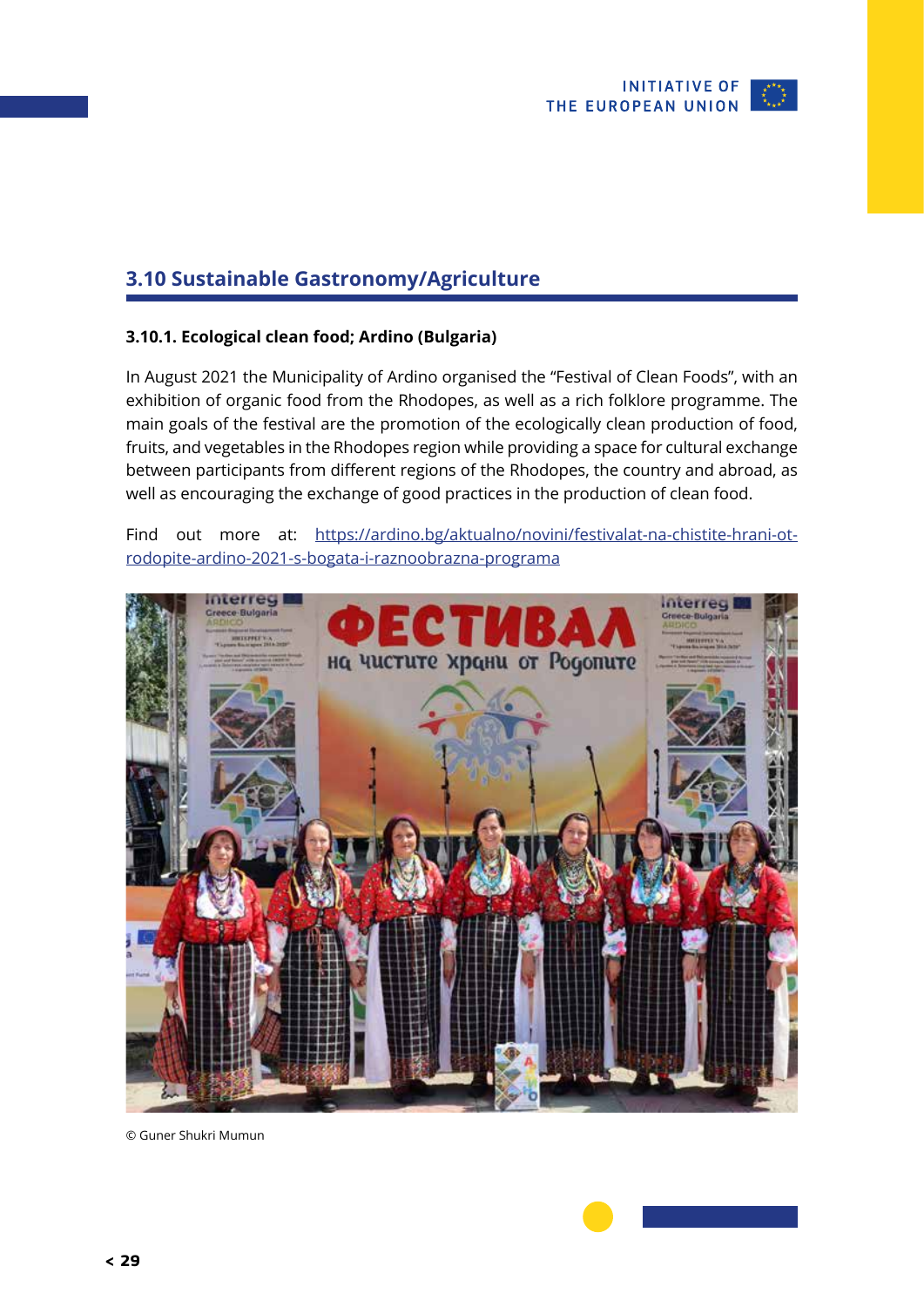

### <span id="page-28-0"></span>**3.10 Sustainable Gastronomy/Agriculture**

### **3.10.1. Ecological clean food; Ardino (Bulgaria)**

In August 2021 the Municipality of Ardino organised the "Festival of Clean Foods", with an exhibition of organic food from the Rhodopes, as well as a rich folklore programme. The main goals of the festival are the promotion of the ecologically clean production of food, fruits, and vegetables in the Rhodopes region while providing a space for cultural exchange between participants from different regions of the Rhodopes, the country and abroad, as well as encouraging the exchange of good practices in the production of clean food.

Find out more at: [https://ardino.bg/aktualno/novini/festivalat-na-chistite-hrani-ot](https://ardino.bg/aktualno/novini/festivalat-na-chistite-hrani-ot-rodopite-ardino-2021-s-bogata-i-raznoobrazna-programa)[rodopite-ardino-2021-s-bogata-i-raznoobrazna-programa](https://ardino.bg/aktualno/novini/festivalat-na-chistite-hrani-ot-rodopite-ardino-2021-s-bogata-i-raznoobrazna-programa)



© Guner Shukri Mumun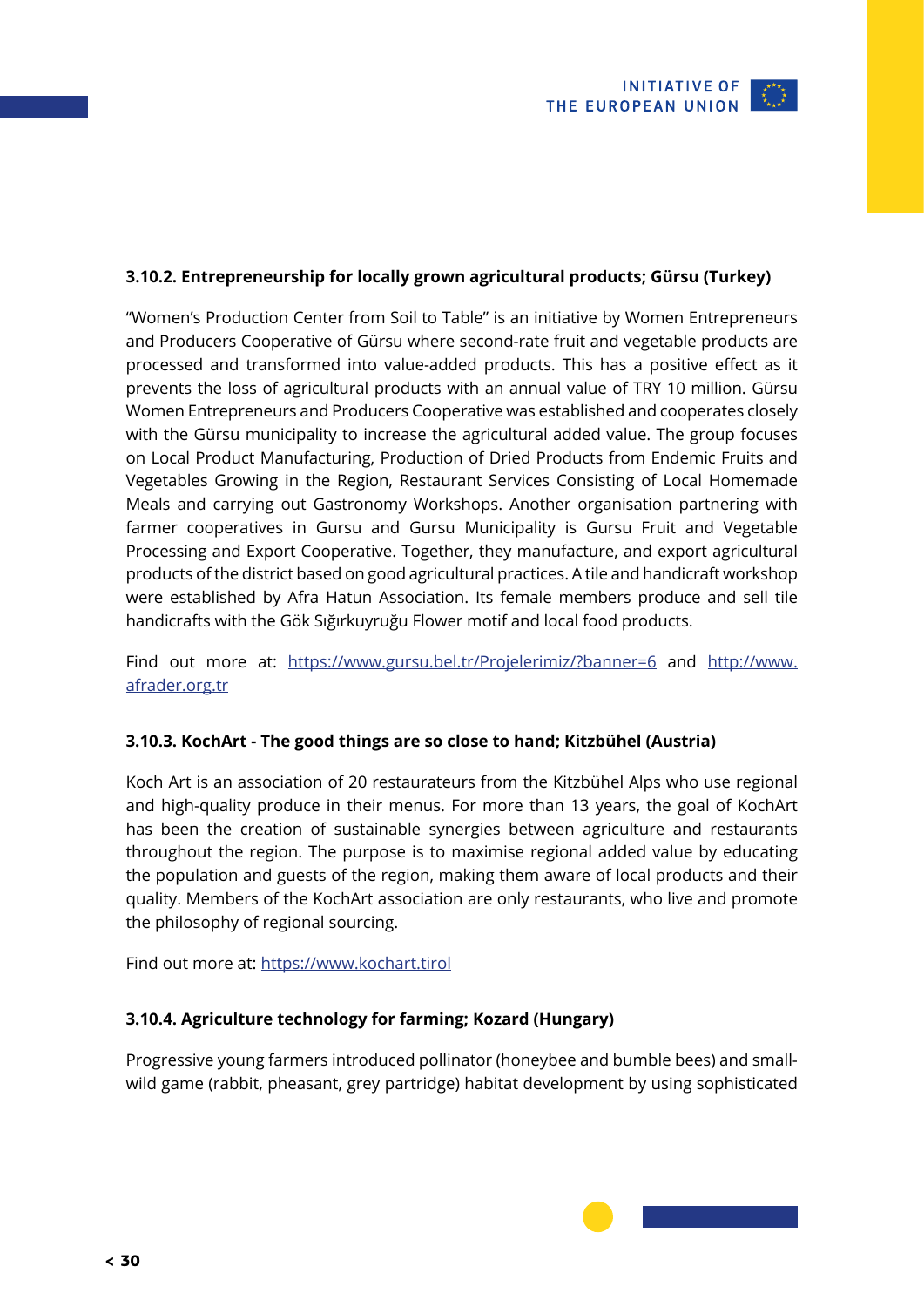### <span id="page-29-0"></span>**3.10.2. Entrepreneurship for locally grown agricultural products; Gürsu (Turkey)**

"Women's Production Center from Soil to Table" is an initiative by Women Entrepreneurs and Producers Cooperative of Gürsu where second-rate fruit and vegetable products are processed and transformed into value-added products. This has a positive effect as it prevents the loss of agricultural products with an annual value of TRY 10 million. Gürsu Women Entrepreneurs and Producers Cooperative was established and cooperates closely with the Gürsu municipality to increase the agricultural added value. The group focuses on Local Product Manufacturing, Production of Dried Products from Endemic Fruits and Vegetables Growing in the Region, Restaurant Services Consisting of Local Homemade Meals and carrying out Gastronomy Workshops. Another organisation partnering with farmer cooperatives in Gursu and Gursu Municipality is Gursu Fruit and Vegetable Processing and Export Cooperative. Together, they manufacture, and export agricultural products of the district based on good agricultural practices. A tile and handicraft workshop were established by Afra Hatun Association. Its female members produce and sell tile handicrafts with the Gök Sığırkuyruğu Flower motif and local food products.

Find out more at: <https://www.gursu.bel.tr/Projelerimiz/?banner=6> and [http://www.](http://www.afrader.org.tr) [afrader.org.tr](http://www.afrader.org.tr)

### **3.10.3. KochArt - The good things are so close to hand; Kitzbühel (Austria)**

Koch Art is an association of 20 restaurateurs from the Kitzbühel Alps who use regional and high-quality produce in their menus. For more than 13 years, the goal of KochArt has been the creation of sustainable synergies between agriculture and restaurants throughout the region. The purpose is to maximise regional added value by educating the population and guests of the region, making them aware of local products and their quality. Members of the KochArt association are only restaurants, who live and promote the philosophy of regional sourcing.

Find out more at:<https://www.kochart.tirol>

### **3.10.4. Agriculture technology for farming; Kozard (Hungary)**

Progressive young farmers introduced pollinator (honeybee and bumble bees) and smallwild game (rabbit, pheasant, grey partridge) habitat development by using sophisticated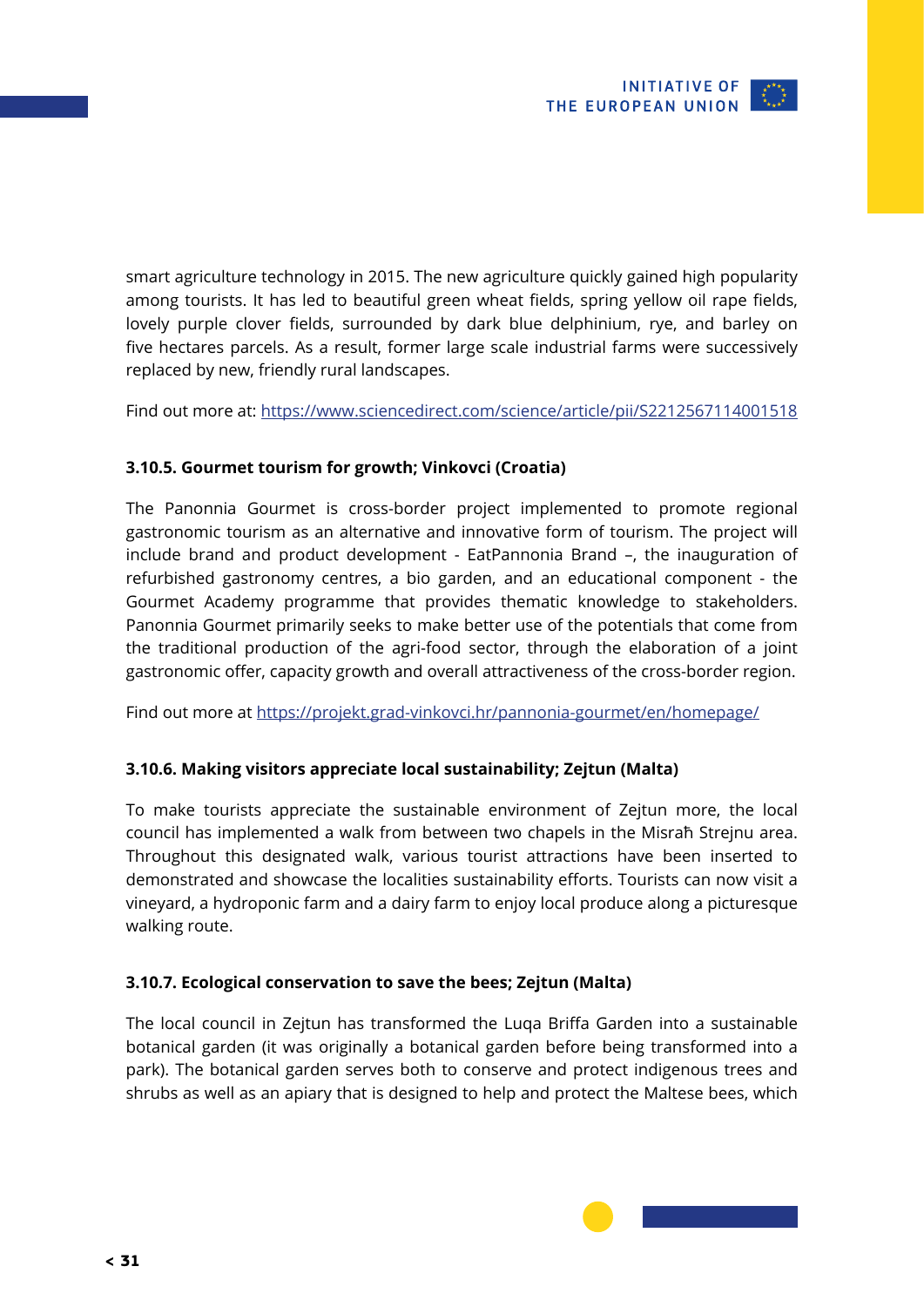<span id="page-30-0"></span>smart agriculture technology in 2015. The new agriculture quickly gained high popularity among tourists. It has led to beautiful green wheat fields, spring yellow oil rape fields, lovely purple clover fields, surrounded by dark blue delphinium, rye, and barley on five hectares parcels. As a result, former large scale industrial farms were successively replaced by new, friendly rural landscapes.

Find out more at:<https://www.sciencedirect.com/science/article/pii/S2212567114001518>

### **3.10.5. Gourmet tourism for growth; Vinkovci (Croatia)**

The Panonnia Gourmet is cross-border project implemented to promote regional gastronomic tourism as an alternative and innovative form of tourism. The project will include brand and product development - EatPannonia Brand –, the inauguration of refurbished gastronomy centres, a bio garden, and an educational component - the Gourmet Academy programme that provides thematic knowledge to stakeholders. Panonnia Gourmet primarily seeks to make better use of the potentials that come from the traditional production of the agri-food sector, through the elaboration of a joint gastronomic offer, capacity growth and overall attractiveness of the cross-border region.

Find out more at <https://projekt.grad-vinkovci.hr/pannonia-gourmet/en/homepage/>

### **3.10.6. Making visitors appreciate local sustainability; Zejtun (Malta)**

To make tourists appreciate the sustainable environment of Zejtun more, the local council has implemented a walk from between two chapels in the Misraħ Strejnu area. Throughout this designated walk, various tourist attractions have been inserted to demonstrated and showcase the localities sustainability efforts. Tourists can now visit a vineyard, a hydroponic farm and a dairy farm to enjoy local produce along a picturesque walking route.

### **3.10.7. Ecological conservation to save the bees; Zejtun (Malta)**

The local council in Zejtun has transformed the Luqa Briffa Garden into a sustainable botanical garden (it was originally a botanical garden before being transformed into a park). The botanical garden serves both to conserve and protect indigenous trees and shrubs as well as an apiary that is designed to help and protect the Maltese bees, which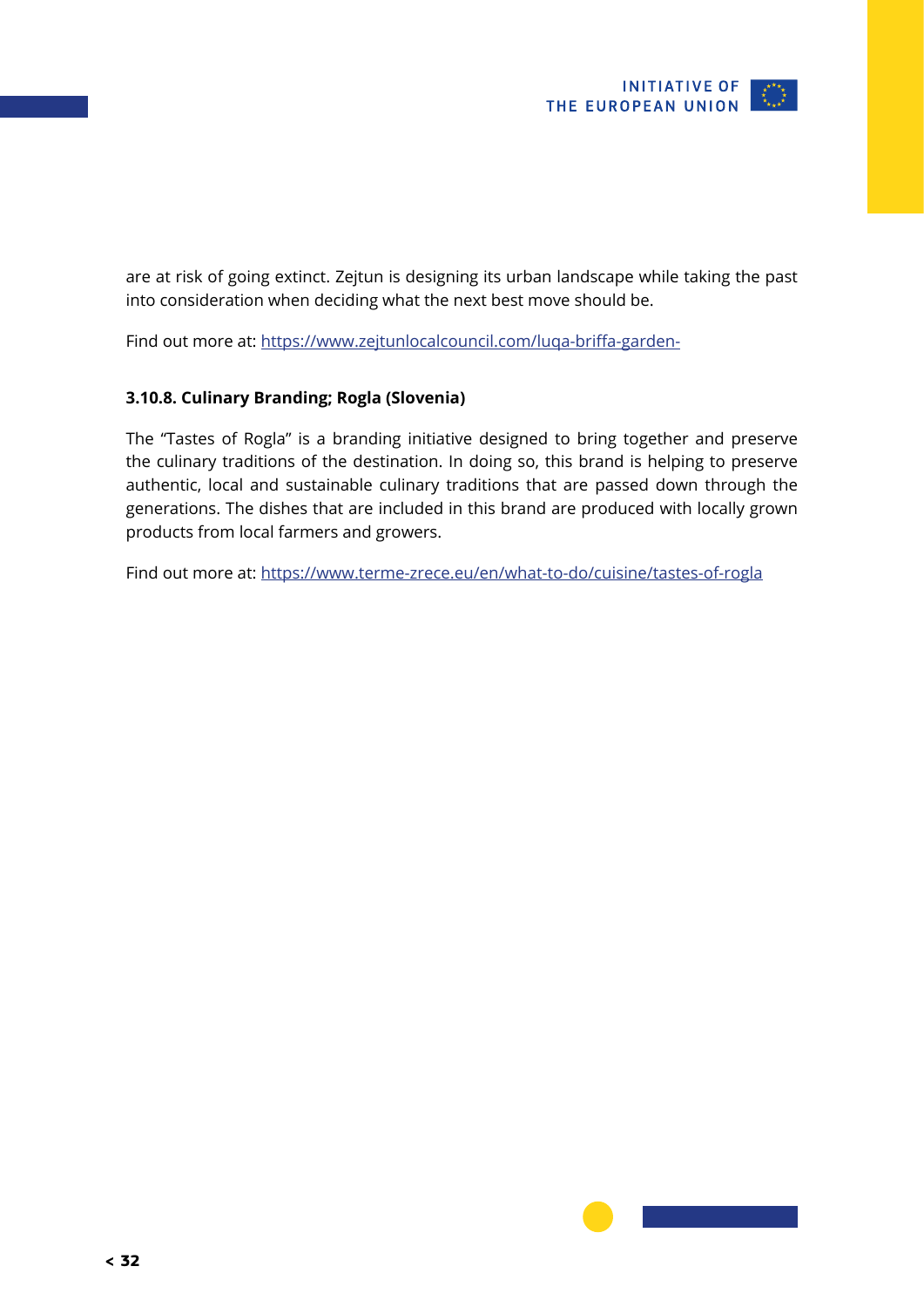

<span id="page-31-0"></span>are at risk of going extinct. Zejtun is designing its urban landscape while taking the past into consideration when deciding what the next best move should be.

Find out more at:<https://www.zejtunlocalcouncil.com/luqa-briffa-garden->

### **3.10.8. Culinary Branding; Rogla (Slovenia)**

The "Tastes of Rogla" is a branding initiative designed to bring together and preserve the culinary traditions of the destination. In doing so, this brand is helping to preserve authentic, local and sustainable culinary traditions that are passed down through the generations. The dishes that are included in this brand are produced with locally grown products from local farmers and growers.

Find out more at:<https://www.terme-zrece.eu/en/what-to-do/cuisine/tastes-of-rogla>